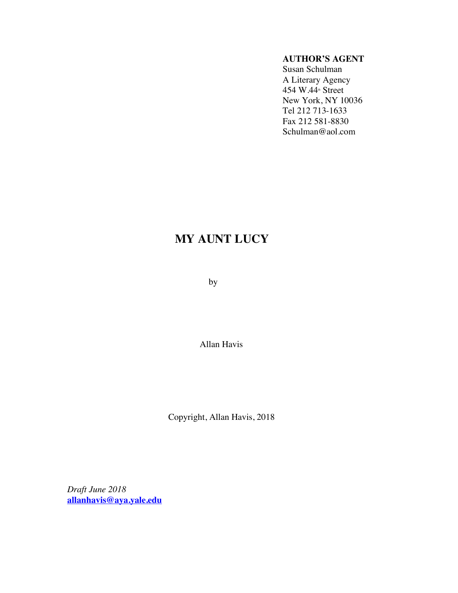## **AUTHOR'S AGENT**

Susan Schulman A Literary Agency 454 W.44<sup>th</sup> Street New York, NY 10036 Tel 212 713-1633 Fax 212 581-8830 Schulman@aol.com

## **MY AUNT LUCY**

by

Allan Havis

Copyright, Allan Havis, 2018

*Draft June 2018* **allanhavis@aya.yale.edu**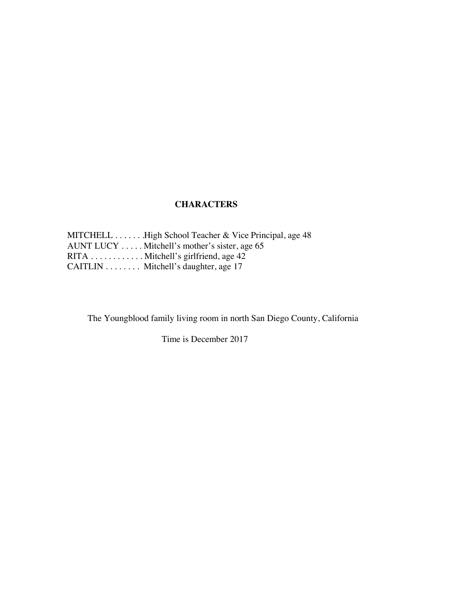## **CHARACTERS**

MITCHELL . . . . . . . High School Teacher & Vice Principal, age 48 AUNT LUCY . . . . . Mitchell's mother's sister, age 65 RITA . . . . . . . . . . . . Mitchell's girlfriend, age 42 CAITLIN . . . . . . . . Mitchell's daughter, age 17

The Youngblood family living room in north San Diego County, California

Time is December 2017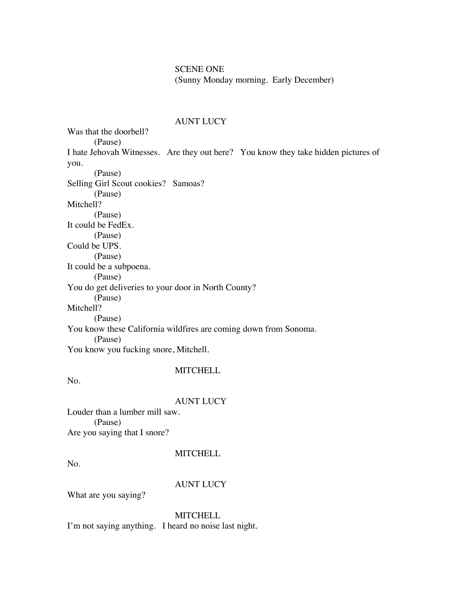SCENE ONE (Sunny Monday morning. Early December)

#### AUNT LUCY

Was that the doorbell? (Pause) I hate Jehovah Witnesses. Are they out here? You know they take hidden pictures of you. (Pause) Selling Girl Scout cookies? Samoas? (Pause) Mitchell? (Pause) It could be FedEx. (Pause) Could be UPS. (Pause) It could be a subpoena. (Pause) You do get deliveries to your door in North County? (Pause) Mitchell? (Pause) You know these California wildfires are coming down from Sonoma. (Pause) You know you fucking snore, Mitchell.

## **MITCHELL**

No.

#### AUNT LUCY

Louder than a lumber mill saw. (Pause) Are you saying that I snore?

#### **MITCHELL**

No.

## AUNT LUCY

What are you saying?

**MITCHELL** I'm not saying anything. I heard no noise last night.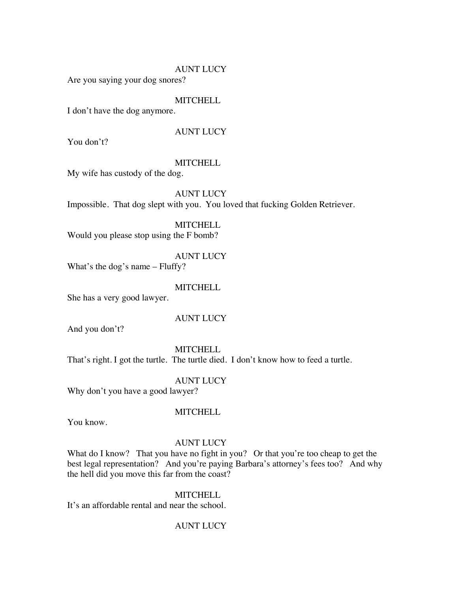Are you saying your dog snores?

## **MITCHELL**

I don't have the dog anymore.

## AUNT LUCY

You don't?

#### **MITCHELL**

My wife has custody of the dog.

## AUNT LUCY

Impossible. That dog slept with you. You loved that fucking Golden Retriever.

**MITCHELL** Would you please stop using the F bomb?

#### AUNT LUCY

What's the dog's name – Fluffy?

#### **MITCHELL**

She has a very good lawyer.

#### AUNT LUCY

And you don't?

#### **MITCHELL**

That's right. I got the turtle. The turtle died. I don't know how to feed a turtle.

#### AUNT LUCY

Why don't you have a good lawyer?

#### **MITCHELL**

You know.

#### AUNT LUCY

What do I know? That you have no fight in you? Or that you're too cheap to get the best legal representation? And you're paying Barbara's attorney's fees too? And why the hell did you move this far from the coast?

#### **MITCHELL**

It's an affordable rental and near the school.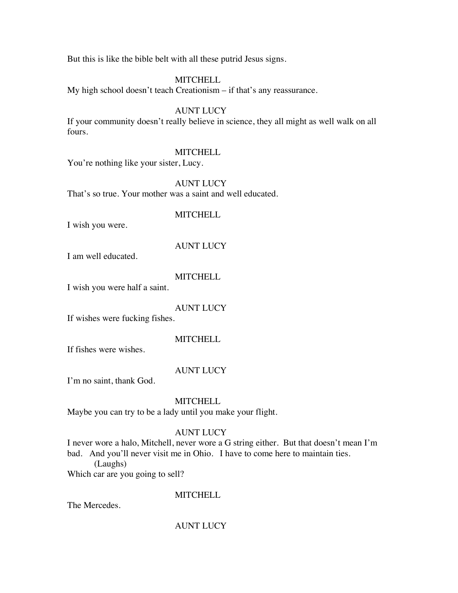But this is like the bible belt with all these putrid Jesus signs.

## **MITCHELL**

My high school doesn't teach Creationism – if that's any reassurance.

## AUNT LUCY

If your community doesn't really believe in science, they all might as well walk on all fours.

## **MITCHELL**

You're nothing like your sister, Lucy.

## AUNT LUCY

That's so true. Your mother was a saint and well educated.

## **MITCHELL**

I wish you were.

## AUNT LUCY

I am well educated.

## **MITCHELL**

I wish you were half a saint.

## AUNT LUCY

If wishes were fucking fishes.

## **MITCHELL**

If fishes were wishes.

## AUNT LUCY

I'm no saint, thank God.

## **MITCHELL**

Maybe you can try to be a lady until you make your flight.

## AUNT LUCY

I never wore a halo, Mitchell, never wore a G string either. But that doesn't mean I'm bad. And you'll never visit me in Ohio. I have to come here to maintain ties.

(Laughs)

Which car are you going to sell?

## **MITCHELL**

The Mercedes.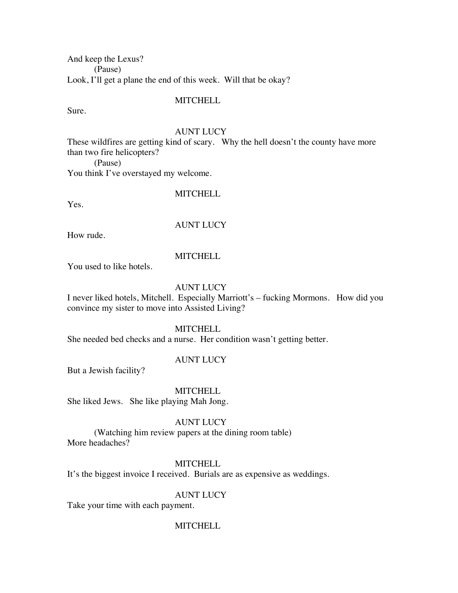And keep the Lexus? (Pause) Look, I'll get a plane the end of this week. Will that be okay?

**MITCHELL** 

Sure.

#### AUNT LUCY

These wildfires are getting kind of scary. Why the hell doesn't the county have more than two fire helicopters?

(Pause)

You think I've overstayed my welcome.

#### **MITCHELL**

Yes.

## AUNT LUCY

How rude.

#### **MITCHELL**

You used to like hotels.

## AUNT LUCY

I never liked hotels, Mitchell. Especially Marriott's – fucking Mormons. How did you convince my sister to move into Assisted Living?

#### **MITCHELL**

She needed bed checks and a nurse. Her condition wasn't getting better.

#### AUNT LUCY

But a Jewish facility?

**MITCHELL** 

She liked Jews. She like playing Mah Jong.

AUNT LUCY

(Watching him review papers at the dining room table) More headaches?

#### **MITCHELL**

It's the biggest invoice I received. Burials are as expensive as weddings.

#### AUNT LUCY

Take your time with each payment.

#### **MITCHELL**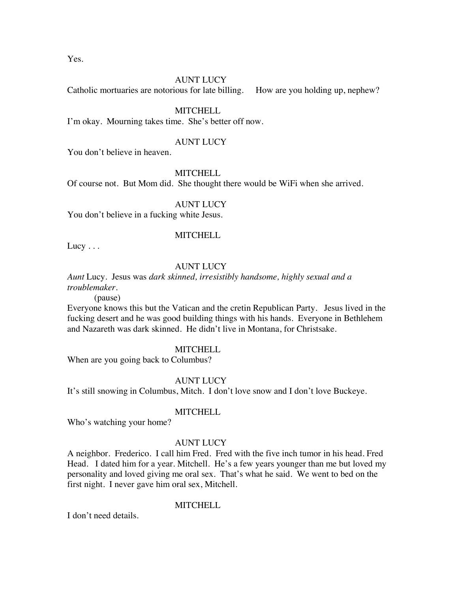Yes.

## AUNT LUCY

Catholic mortuaries are notorious for late billing. How are you holding up, nephew?

## **MITCHELL**

I'm okay. Mourning takes time. She's better off now.

## AUNT LUCY

You don't believe in heaven.

## **MITCHELL**

Of course not. But Mom did. She thought there would be WiFi when she arrived.

## AUNT LUCY

You don't believe in a fucking white Jesus.

## **MITCHELL**

Lucy  $\dots$ 

## AUNT LUCY

*Aunt* Lucy. Jesus was *dark skinned, irresistibly handsome, highly sexual and a troublemaker.*

(pause)

Everyone knows this but the Vatican and the cretin Republican Party. Jesus lived in the fucking desert and he was good building things with his hands. Everyone in Bethlehem and Nazareth was dark skinned. He didn't live in Montana, for Christsake.

#### **MITCHELL**

When are you going back to Columbus?

## AUNT LUCY

It's still snowing in Columbus, Mitch. I don't love snow and I don't love Buckeye.

## **MITCHELL**

Who's watching your home?

## AUNT LUCY

A neighbor. Frederico. I call him Fred. Fred with the five inch tumor in his head. Fred Head. I dated him for a year. Mitchell. He's a few years younger than me but loved my personality and loved giving me oral sex. That's what he said. We went to bed on the first night. I never gave him oral sex, Mitchell.

## **MITCHELL**

I don't need details.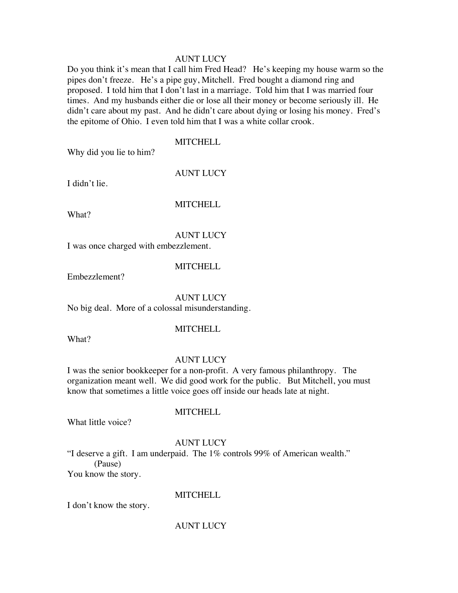Do you think it's mean that I call him Fred Head? He's keeping my house warm so the pipes don't freeze. He's a pipe guy, Mitchell. Fred bought a diamond ring and proposed. I told him that I don't last in a marriage. Told him that I was married four times. And my husbands either die or lose all their money or become seriously ill. He didn't care about my past. And he didn't care about dying or losing his money. Fred's the epitome of Ohio. I even told him that I was a white collar crook.

#### **MITCHELL**

Why did you lie to him?

AUNT LUCY

I didn't lie.

**MITCHELL** 

What?

## AUNT LUCY

I was once charged with embezzlement.

#### **MITCHELL**

Embezzlement?

#### AUNT LUCY

No big deal. More of a colossal misunderstanding.

What?

## **MITCHELL**

#### AUNT LUCY

I was the senior bookkeeper for a non-profit. A very famous philanthropy. The organization meant well. We did good work for the public. But Mitchell, you must know that sometimes a little voice goes off inside our heads late at night.

What little voice?

## AUNT LUCY

MITCHELL

"I deserve a gift. I am underpaid. The 1% controls 99% of American wealth." (Pause)

You know the story.

#### **MITCHELL**

I don't know the story.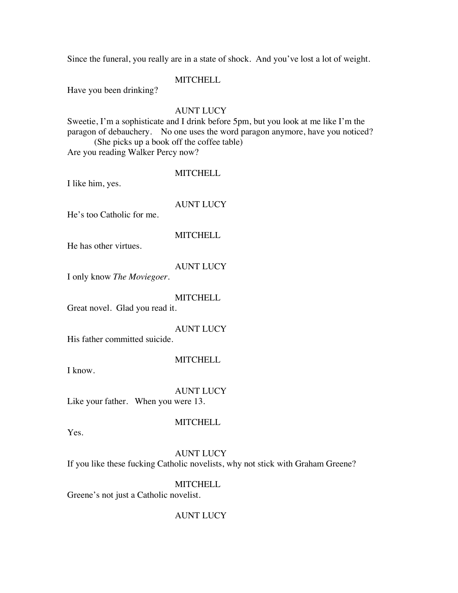Since the funeral, you really are in a state of shock. And you've lost a lot of weight.

## **MITCHELL**

Have you been drinking?

## AUNT LUCY

Sweetie, I'm a sophisticate and I drink before 5pm, but you look at me like I'm the paragon of debauchery. No one uses the word paragon anymore, have you noticed? (She picks up a book off the coffee table)

Are you reading Walker Percy now?

## **MITCHELL**

I like him, yes.

## AUNT LUCY

He's too Catholic for me.

## **MITCHELL**

He has other virtues.

## AUNT LUCY

I only know *The Moviegoer*.

## **MITCHELL**

Great novel. Glad you read it.

## AUNT LUCY

His father committed suicide.

## **MITCHELL**

I know.

## AUNT LUCY

Like your father. When you were 13.

## **MITCHELL**

Yes.

## AUNT LUCY

If you like these fucking Catholic novelists, why not stick with Graham Greene?

## **MITCHELL**

Greene's not just a Catholic novelist.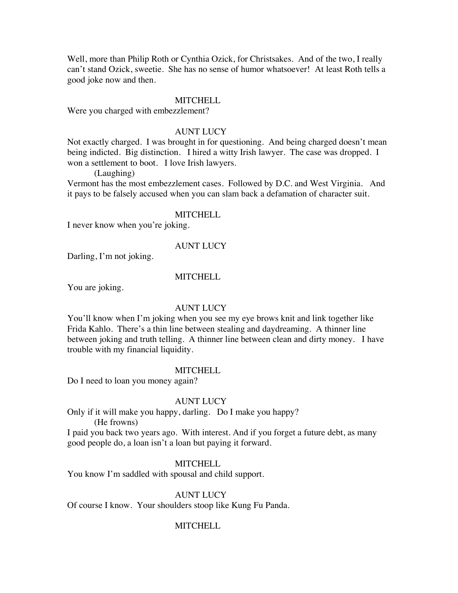Well, more than Philip Roth or Cynthia Ozick, for Christsakes. And of the two, I really can't stand Ozick, sweetie. She has no sense of humor whatsoever! At least Roth tells a good joke now and then.

#### **MITCHELL**

Were you charged with embezzlement?

## AUNT LUCY

Not exactly charged. I was brought in for questioning. And being charged doesn't mean being indicted. Big distinction. I hired a witty Irish lawyer. The case was dropped. I won a settlement to boot. I love Irish lawyers.

(Laughing)

Vermont has the most embezzlement cases. Followed by D.C. and West Virginia. And it pays to be falsely accused when you can slam back a defamation of character suit.

#### **MITCHELL**

I never know when you're joking.

#### AUNT LUCY

Darling, I'm not joking.

#### **MITCHELL**

You are joking.

#### AUNT LUCY

You'll know when I'm joking when you see my eye brows knit and link together like Frida Kahlo. There's a thin line between stealing and daydreaming. A thinner line between joking and truth telling. A thinner line between clean and dirty money. I have trouble with my financial liquidity.

#### **MITCHELL**

Do I need to loan you money again?

#### AUNT LUCY

Only if it will make you happy, darling. Do I make you happy?

(He frowns)

I paid you back two years ago. With interest. And if you forget a future debt, as many good people do, a loan isn't a loan but paying it forward.

#### **MITCHELL**

You know I'm saddled with spousal and child support.

#### AUNT LUCY

Of course I know. Your shoulders stoop like Kung Fu Panda.

#### MITCHELL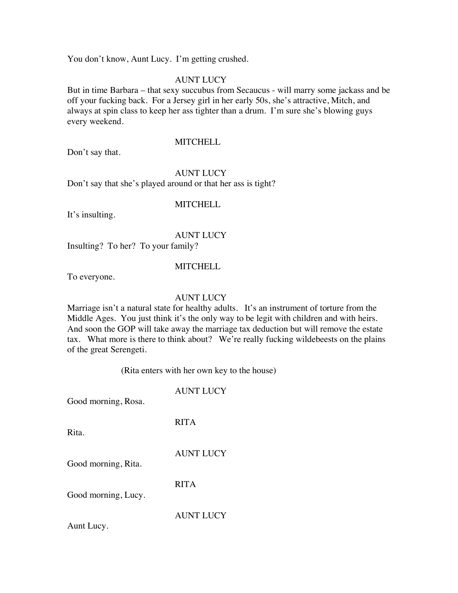You don't know, Aunt Lucy. I'm getting crushed.

## AUNT LUCY

But in time Barbara – that sexy succubus from Secaucus - will marry some jackass and be off your fucking back. For a Jersey girl in her early 50s, she's attractive, Mitch, and always at spin class to keep her ass tighter than a drum. I'm sure she's blowing guys every weekend.

Don't say that.

# **MITCHELL**

AUNT LUCY

Don't say that she's played around or that her ass is tight?

## **MITCHELL**

It's insulting.

## AUNT LUCY

Insulting? To her? To your family?

## **MITCHELL**

To everyone.

## AUNT LUCY

Marriage isn't a natural state for healthy adults. It's an instrument of torture from the Middle Ages. You just think it's the only way to be legit with children and with heirs. And soon the GOP will take away the marriage tax deduction but will remove the estate tax. What more is there to think about? We're really fucking wildebeests on the plains of the great Serengeti.

(Rita enters with her own key to the house)

## AUNT LUCY

Good morning, Rosa.

Rita.

## RITA

AUNT LUCY

Good morning, Rita.

RITA

Good morning, Lucy.

AUNT LUCY

Aunt Lucy.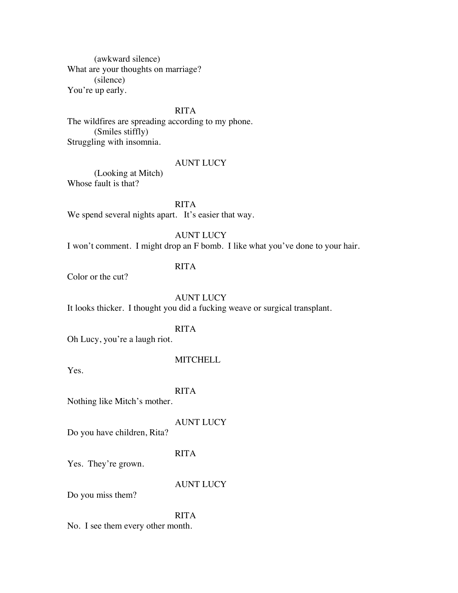(awkward silence) What are your thoughts on marriage? (silence) You're up early.

## RITA

The wildfires are spreading according to my phone. (Smiles stiffly) Struggling with insomnia.

#### AUNT LUCY

(Looking at Mitch) Whose fault is that?

RITA We spend several nights apart. It's easier that way.

AUNT LUCY

I won't comment. I might drop an F bomb. I like what you've done to your hair.

## RITA

Color or the cut?

## AUNT LUCY

It looks thicker. I thought you did a fucking weave or surgical transplant.

## RITA

Oh Lucy, you're a laugh riot.

#### **MITCHELL**

Yes.

#### RITA

Nothing like Mitch's mother.

## AUNT LUCY

Do you have children, Rita?

## RITA

Yes. They're grown.

#### AUNT LUCY

Do you miss them?

## RITA

No. I see them every other month.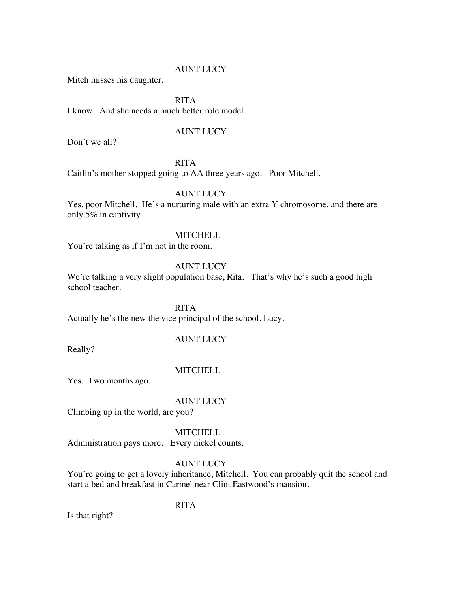Mitch misses his daughter.

## RITA

I know. And she needs a much better role model.

## AUNT LUCY

Don't we all?

## RITA

Caitlin's mother stopped going to AA three years ago. Poor Mitchell.

## AUNT LUCY

Yes, poor Mitchell. He's a nurturing male with an extra Y chromosome, and there are only 5% in captivity.

## **MITCHELL**

You're talking as if I'm not in the room.

#### AUNT LUCY

We're talking a very slight population base, Rita. That's why he's such a good high school teacher.

RITA

Actually he's the new the vice principal of the school, Lucy.

## AUNT LUCY

Really?

## **MITCHELL**

Yes. Two months ago.

#### AUNT LUCY

Climbing up in the world, are you?

## **MITCHELL**

Administration pays more. Every nickel counts.

## AUNT LUCY

You're going to get a lovely inheritance, Mitchell. You can probably quit the school and start a bed and breakfast in Carmel near Clint Eastwood's mansion.

#### RITA

Is that right?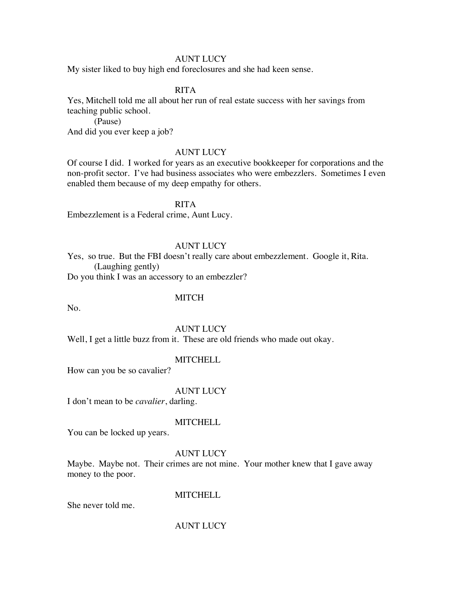My sister liked to buy high end foreclosures and she had keen sense.

#### RITA

Yes, Mitchell told me all about her run of real estate success with her savings from teaching public school.

(Pause)

And did you ever keep a job?

#### AUNT LUCY

Of course I did. I worked for years as an executive bookkeeper for corporations and the non-profit sector. I've had business associates who were embezzlers. Sometimes I even enabled them because of my deep empathy for others.

RITA

Embezzlement is a Federal crime, Aunt Lucy.

#### AUNT LUCY

Yes, so true. But the FBI doesn't really care about embezzlement. Google it, Rita. (Laughing gently)

Do you think I was an accessory to an embezzler?

#### **MITCH**

No.

#### AUNT LUCY

Well, I get a little buzz from it. These are old friends who made out okay.

#### MITCHELL

How can you be so cavalier?

#### AUNT LUCY

I don't mean to be *cavalier*, darling.

#### **MITCHELL**

You can be locked up years.

#### AUNT LUCY

Maybe. Maybe not. Their crimes are not mine. Your mother knew that I gave away money to the poor.

#### **MITCHELL**

She never told me.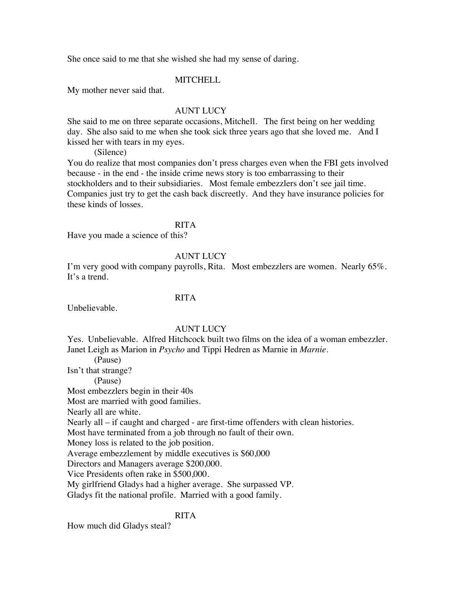She once said to me that she wished she had my sense of daring.

#### **MITCHELL**

My mother never said that.

#### AUNT LUCY

She said to me on three separate occasions, Mitchell. The first being on her wedding day. She also said to me when she took sick three years ago that she loved me. And I kissed her with tears in my eyes.

(Silence)

You do realize that most companies don't press charges even when the FBI gets involved because - in the end - the inside crime news story is too embarrassing to their stockholders and to their subsidiaries. Most female embezzlers don't see jail time. Companies just try to get the cash back discreetly. And they have insurance policies for these kinds of losses.

#### RITA

Have you made a science of this?

## AUNT LUCY

I'm very good with company payrolls, Rita. Most embezzlers are women. Nearly 65%. It's a trend.

## RITA

Unbelievable.

#### AUNT LUCY

Yes. Unbelievable. Alfred Hitchcock built two films on the idea of a woman embezzler. Janet Leigh as Marion in *Psycho* and Tippi Hedren as Marnie in *Marnie.* 

(Pause)

Isn't that strange?

(Pause)

Most embezzlers begin in their 40s

Most are married with good families.

Nearly all are white.

Nearly all – if caught and charged - are first-time offenders with clean histories.

Most have terminated from a job through no fault of their own.

Money loss is related to the job position.

Average embezzlement by middle executives is \$60,000

Directors and Managers average \$200,000.

Vice Presidents often rake in \$500,000.

My girlfriend Gladys had a higher average. She surpassed VP.

Gladys fit the national profile. Married with a good family.

#### RITA

How much did Gladys steal?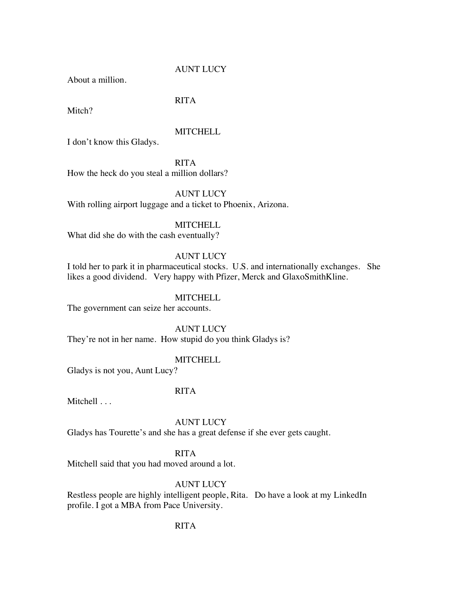About a million.

## RITA

Mitch?

## **MITCHELL**

I don't know this Gladys.

RITA How the heck do you steal a million dollars?

## AUNT LUCY

With rolling airport luggage and a ticket to Phoenix, Arizona.

#### **MITCHELL**

What did she do with the cash eventually?

## AUNT LUCY

I told her to park it in pharmaceutical stocks. U.S. and internationally exchanges. She likes a good dividend. Very happy with Pfizer, Merck and GlaxoSmithKline.

#### **MITCHELL**

The government can seize her accounts.

AUNT LUCY

They're not in her name. How stupid do you think Gladys is?

#### **MITCHELL**

Gladys is not you, Aunt Lucy?

## RITA

Mitchell . . .

## AUNT LUCY

Gladys has Tourette's and she has a great defense if she ever gets caught.

## RITA

Mitchell said that you had moved around a lot.

## AUNT LUCY

Restless people are highly intelligent people, Rita. Do have a look at my LinkedIn profile. I got a MBA from Pace University.

## RITA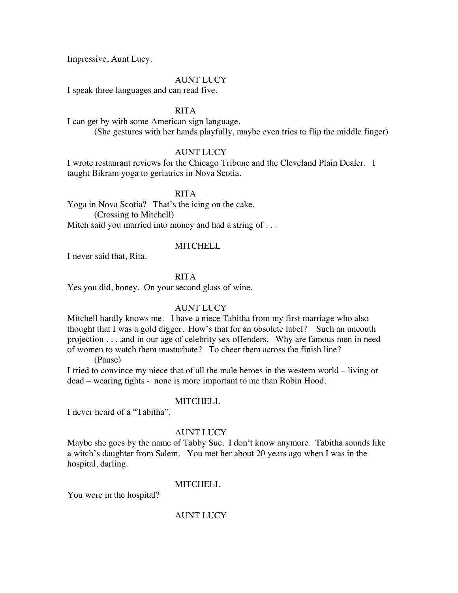Impressive, Aunt Lucy.

#### AUNT LUCY

I speak three languages and can read five.

#### RITA

I can get by with some American sign language. (She gestures with her hands playfully, maybe even tries to flip the middle finger)

#### AUNT LUCY

I wrote restaurant reviews for the Chicago Tribune and the Cleveland Plain Dealer. I taught Bikram yoga to geriatrics in Nova Scotia.

#### RITA

Yoga in Nova Scotia? That's the icing on the cake. (Crossing to Mitchell) Mitch said you married into money and had a string of ...

#### **MITCHELL**

I never said that, Rita.

## RITA

Yes you did, honey. On your second glass of wine.

#### AUNT LUCY

Mitchell hardly knows me. I have a niece Tabitha from my first marriage who also thought that I was a gold digger. How's that for an obsolete label? Such an uncouth projection . . . .and in our age of celebrity sex offenders. Why are famous men in need of women to watch them masturbate? To cheer them across the finish line?

(Pause)

I tried to convince my niece that of all the male heroes in the western world – living or dead – wearing tights - none is more important to me than Robin Hood.

#### **MITCHELL**

I never heard of a "Tabitha".

#### AUNT LUCY

Maybe she goes by the name of Tabby Sue. I don't know anymore. Tabitha sounds like a witch's daughter from Salem. You met her about 20 years ago when I was in the hospital, darling.

#### MITCHELL

You were in the hospital?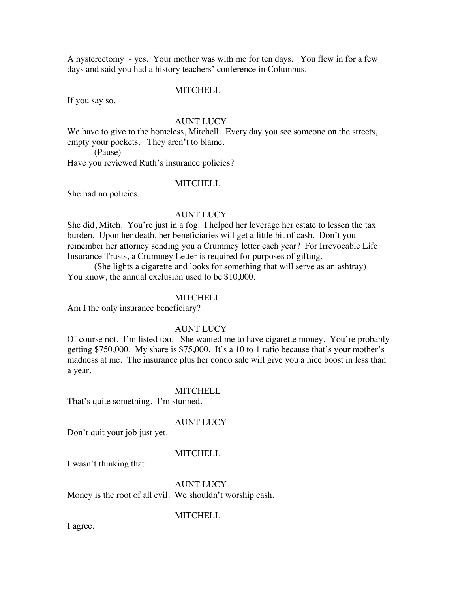A hysterectomy - yes. Your mother was with me for ten days. You flew in for a few days and said you had a history teachers' conference in Columbus.

#### **MITCHELL**

If you say so.

#### AUNT LUCY

We have to give to the homeless, Mitchell. Every day you see someone on the streets, empty your pockets. They aren't to blame.

(Pause)

Have you reviewed Ruth's insurance policies?

#### **MITCHELL**

She had no policies.

### AUNT LUCY

She did, Mitch. You're just in a fog. I helped her leverage her estate to lessen the tax burden. Upon her death, her beneficiaries will get a little bit of cash. Don't you remember her attorney sending you a Crummey letter each year? For Irrevocable Life Insurance Trusts, a Crummey Letter is required for purposes of gifting.

(She lights a cigarette and looks for something that will serve as an ashtray) You know, the annual exclusion used to be \$10,000.

#### **MITCHELL**

Am I the only insurance beneficiary?

#### AUNT LUCY

Of course not. I'm listed too. She wanted me to have cigarette money. You're probably getting \$750,000. My share is \$75,000. It's a 10 to 1 ratio because that's your mother's madness at me. The insurance plus her condo sale will give you a nice boost in less than a year.

#### **MITCHELL**

That's quite something. I'm stunned.

#### AUNT LUCY

Don't quit your job just yet.

#### **MITCHELL**

I wasn't thinking that.

AUNT LUCY Money is the root of all evil. We shouldn't worship cash.

#### **MITCHELL**

I agree.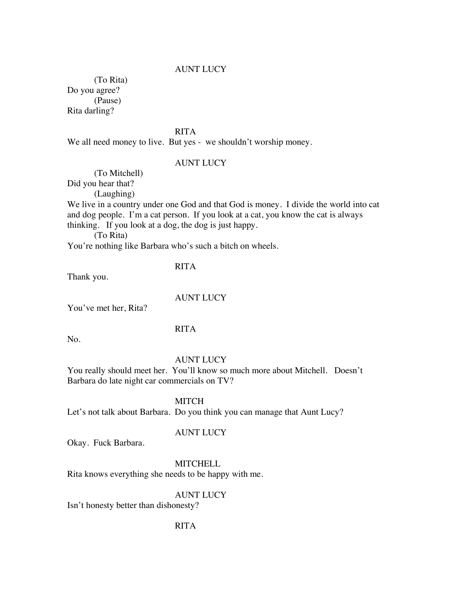(To Rita) Do you agree? (Pause) Rita darling?

RITA

We all need money to live. But yes - we shouldn't worship money.

#### AUNT LUCY

(To Mitchell) Did you hear that?

(Laughing)

We live in a country under one God and that God is money. I divide the world into cat and dog people. I'm a cat person. If you look at a cat, you know the cat is always thinking. If you look at a dog, the dog is just happy.

(To Rita)

You're nothing like Barbara who's such a bitch on wheels.

#### RITA

Thank you.

#### AUNT LUCY

You've met her, Rita?

#### RITA

No.

#### AUNT LUCY

You really should meet her. You'll know so much more about Mitchell. Doesn't Barbara do late night car commercials on TV?

**MITCH** 

Let's not talk about Barbara. Do you think you can manage that Aunt Lucy?

#### AUNT LUCY

Okay. Fuck Barbara.

**MITCHELL** 

Rita knows everything she needs to be happy with me.

## AUNT LUCY

Isn't honesty better than dishonesty?

#### RITA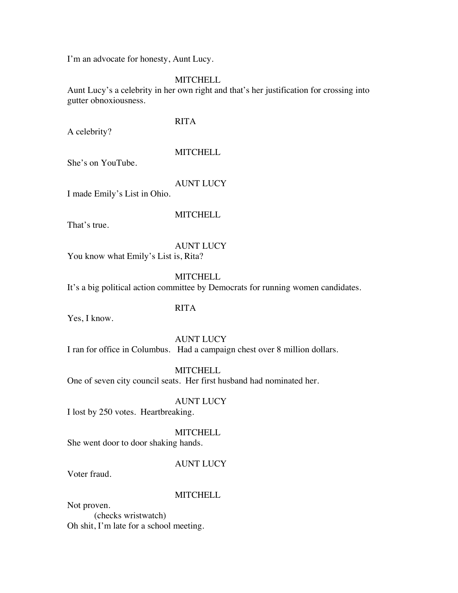I'm an advocate for honesty, Aunt Lucy.

## **MITCHELL**

Aunt Lucy's a celebrity in her own right and that's her justification for crossing into gutter obnoxiousness.

## RITA

A celebrity?

## **MITCHELL**

She's on YouTube.

## AUNT LUCY

I made Emily's List in Ohio.

#### **MITCHELL**

That's true.

AUNT LUCY You know what Emily's List is, Rita?

## **MITCHELL**

It's a big political action committee by Democrats for running women candidates.

## RITA

Yes, I know.

#### AUNT LUCY

I ran for office in Columbus. Had a campaign chest over 8 million dollars.

**MITCHELL** 

One of seven city council seats. Her first husband had nominated her.

#### AUNT LUCY

I lost by 250 votes. Heartbreaking.

## **MITCHELL**

She went door to door shaking hands.

## AUNT LUCY

Voter fraud.

## **MITCHELL**

Not proven. (checks wristwatch) Oh shit, I'm late for a school meeting.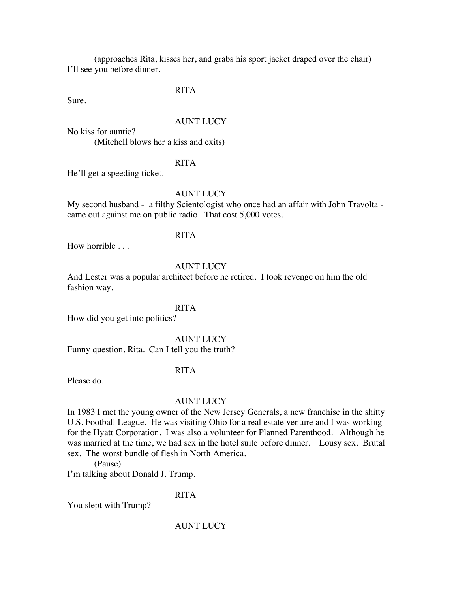(approaches Rita, kisses her, and grabs his sport jacket draped over the chair) I'll see you before dinner.

RITA

Sure.

#### AUNT LUCY

No kiss for auntie? (Mitchell blows her a kiss and exits)

## RITA

He'll get a speeding ticket.

## AUNT LUCY

My second husband - a filthy Scientologist who once had an affair with John Travolta came out against me on public radio. That cost 5,000 votes.

## RITA

How horrible . . .

#### AUNT LUCY

And Lester was a popular architect before he retired. I took revenge on him the old fashion way.

#### RITA

How did you get into politics?

#### AUNT LUCY

Funny question, Rita. Can I tell you the truth?

## RITA

Please do.

#### AUNT LUCY

In 1983 I met the young owner of the New Jersey Generals, a new franchise in the shitty U.S. Football League. He was visiting Ohio for a real estate venture and I was working for the Hyatt Corporation. I was also a volunteer for Planned Parenthood. Although he was married at the time, we had sex in the hotel suite before dinner. Lousy sex. Brutal sex. The worst bundle of flesh in North America.

(Pause)

I'm talking about Donald J. Trump.

#### RITA

You slept with Trump?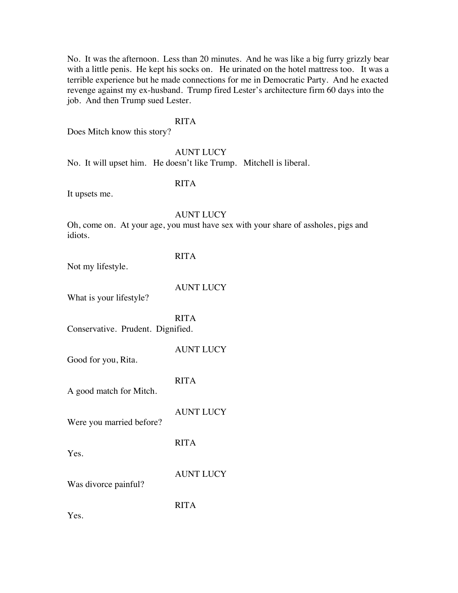No. It was the afternoon. Less than 20 minutes. And he was like a big furry grizzly bear with a little penis. He kept his socks on. He urinated on the hotel mattress too. It was a terrible experience but he made connections for me in Democratic Party. And he exacted revenge against my ex-husband. Trump fired Lester's architecture firm 60 days into the job. And then Trump sued Lester.

#### RITA

Does Mitch know this story?

#### AUNT LUCY

No. It will upset him. He doesn't like Trump. Mitchell is liberal.

## RITA

It upsets me.

#### AUNT LUCY

Oh, come on. At your age, you must have sex with your share of assholes, pigs and idiots.

## RITA

Not my lifestyle.

AUNT LUCY

What is your lifestyle?

RITA Conservative. Prudent. Dignified.

AUNT LUCY Good for you, Rita. RITA

A good match for Mitch.

AUNT LUCY

Were you married before?

Yes.

AUNT LUCY

Was divorce painful?

RITA

RITA

Yes.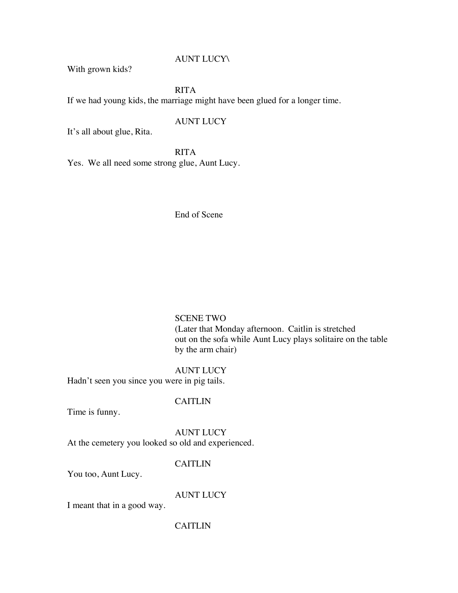With grown kids?

RITA If we had young kids, the marriage might have been glued for a longer time.

## AUNT LUCY

It's all about glue, Rita.

RITA

Yes. We all need some strong glue, Aunt Lucy.

End of Scene

## SCENE TWO

(Later that Monday afternoon. Caitlin is stretched out on the sofa while Aunt Lucy plays solitaire on the table by the arm chair)

AUNT LUCY Hadn't seen you since you were in pig tails.

#### CAITLIN

Time is funny.

AUNT LUCY At the cemetery you looked so old and experienced.

#### CAITLIN

You too, Aunt Lucy.

AUNT LUCY

I meant that in a good way.

#### CAITLIN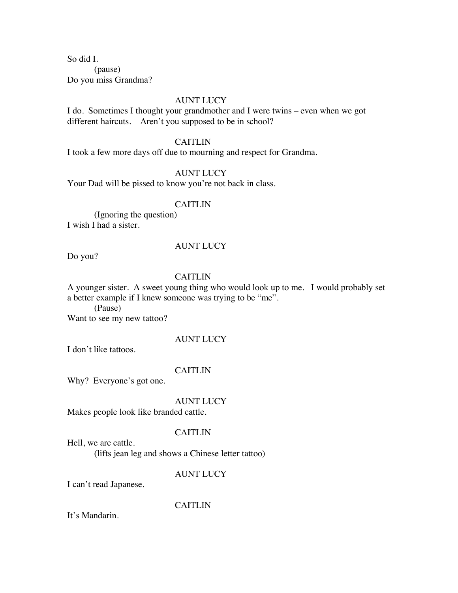So did I.

(pause) Do you miss Grandma?

#### AUNT LUCY

I do. Sometimes I thought your grandmother and I were twins – even when we got different haircuts. Aren't you supposed to be in school?

#### CAITLIN

I took a few more days off due to mourning and respect for Grandma.

## AUNT LUCY

Your Dad will be pissed to know you're not back in class.

#### CAITLIN

(Ignoring the question) I wish I had a sister.

#### AUNT LUCY

Do you?

## **CAITLIN**

A younger sister. A sweet young thing who would look up to me. I would probably set a better example if I knew someone was trying to be "me".

(Pause)

Want to see my new tattoo?

#### AUNT LUCY

I don't like tattoos.

## CAITLIN

Why? Everyone's got one.

#### AUNT LUCY

Makes people look like branded cattle.

## **CAITLIN**

Hell, we are cattle. (lifts jean leg and shows a Chinese letter tattoo)

## AUNT LUCY

I can't read Japanese.

CAITLIN

It's Mandarin.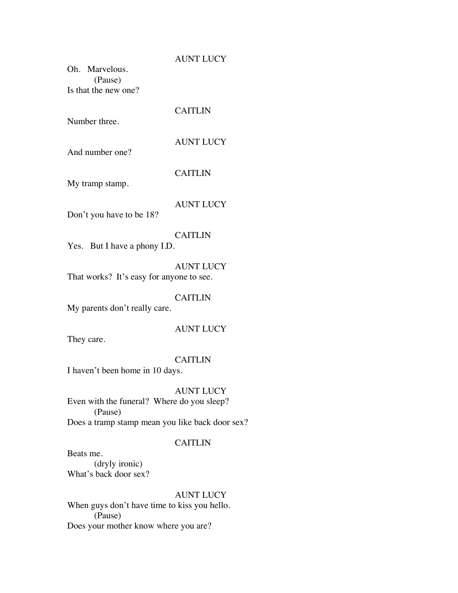Oh. Marvelous. (Pause) Is that the new one?

Number three.

And number one?

CAITLIN

AUNT LUCY

CAITLIN

My tramp stamp.

AUNT LUCY

Don't you have to be 18?

#### CAITLIN

Yes. But I have a phony I.D.

AUNT LUCY That works? It's easy for anyone to see.

## CAITLIN

My parents don't really care.

#### AUNT LUCY

They care.

#### CAITLIN

I haven't been home in 10 days.

#### AUNT LUCY

Even with the funeral? Where do you sleep? (Pause) Does a tramp stamp mean you like back door sex?

#### CAITLIN

Beats me.

(dryly ironic) What's back door sex?

## AUNT LUCY

When guys don't have time to kiss you hello. (Pause) Does your mother know where you are?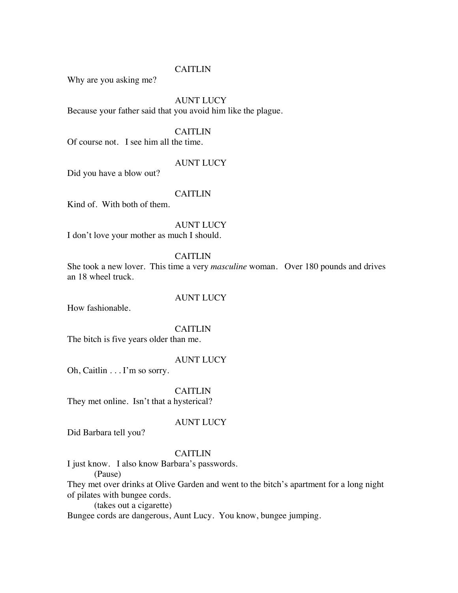#### CAITLIN

Why are you asking me?

## AUNT LUCY

Because your father said that you avoid him like the plague.

## CAITLIN

Of course not. I see him all the time.

#### AUNT LUCY

Did you have a blow out?

## **CAITLIN**

Kind of. With both of them.

AUNT LUCY

I don't love your mother as much I should.

## CAITLIN

She took a new lover. This time a very *masculine* woman. Over 180 pounds and drives an 18 wheel truck.

## AUNT LUCY

How fashionable.

#### CAITLIN

The bitch is five years older than me.

#### AUNT LUCY

Oh, Caitlin . . . I'm so sorry.

## CAITLIN

They met online. Isn't that a hysterical?

#### AUNT LUCY

Did Barbara tell you?

#### CAITLIN

I just know. I also know Barbara's passwords.

(Pause)

They met over drinks at Olive Garden and went to the bitch's apartment for a long night of pilates with bungee cords.

(takes out a cigarette)

Bungee cords are dangerous, Aunt Lucy. You know, bungee jumping.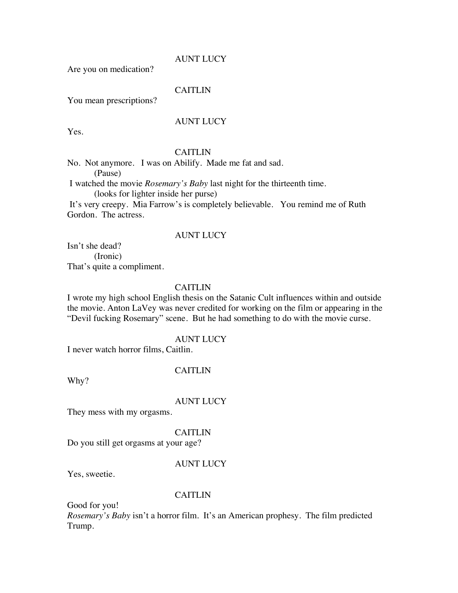Are you on medication?

#### CAITLIN

You mean prescriptions?

### AUNT LUCY

Yes.

## CAITLIN

No. Not anymore. I was on Abilify. Made me fat and sad. (Pause)

I watched the movie *Rosemary's Baby* last night for the thirteenth time. (looks for lighter inside her purse)

It's very creepy. Mia Farrow's is completely believable. You remind me of Ruth Gordon. The actress.

## AUNT LUCY

Isn't she dead? (Ironic) That's quite a compliment.

#### CAITLIN

I wrote my high school English thesis on the Satanic Cult influences within and outside the movie. Anton LaVey was never credited for working on the film or appearing in the "Devil fucking Rosemary" scene. But he had something to do with the movie curse.

#### AUNT LUCY

I never watch horror films, Caitlin.

#### CAITLIN

Why?

#### AUNT LUCY

They mess with my orgasms.

## **CAITLIN**

Do you still get orgasms at your age?

#### AUNT LUCY

Yes, sweetie.

#### CAITLIN

Good for you!

*Rosemary's Baby* isn't a horror film. It's an American prophesy. The film predicted Trump.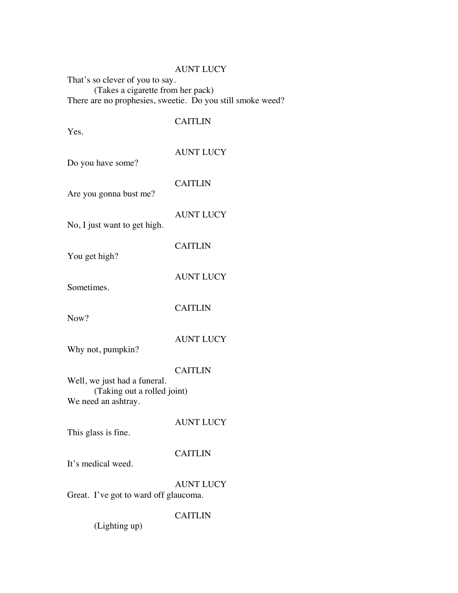That's so clever of you to say. (Takes a cigarette from her pack) There are no prophesies, sweetie. Do you still smoke weed?

## CAITLIN

| Yes.                                               |                  |
|----------------------------------------------------|------------------|
| Do you have some?                                  | <b>AUNT LUCY</b> |
| Are you gonna bust me?                             | <b>CAITLIN</b>   |
| No, I just want to get high.                       | <b>AUNT LUCY</b> |
| You get high?                                      | <b>CAITLIN</b>   |
| Sometimes.                                         | <b>AUNT LUCY</b> |
| Now?                                               | <b>CAITLIN</b>   |
| Why not, pumpkin?                                  | <b>AUNT LUCY</b> |
| Well, we just had a funeral.                       | <b>CAITLIN</b>   |
| (Taking out a rolled joint)<br>We need an ashtray. |                  |
| This glass is fine.                                | <b>AUNT LUCY</b> |
| It's medical weed.                                 | <b>CAITLIN</b>   |
| Great. I've got to ward off glaucoma.              | <b>AUNT LUCY</b> |

## CAITLIN

(Lighting up)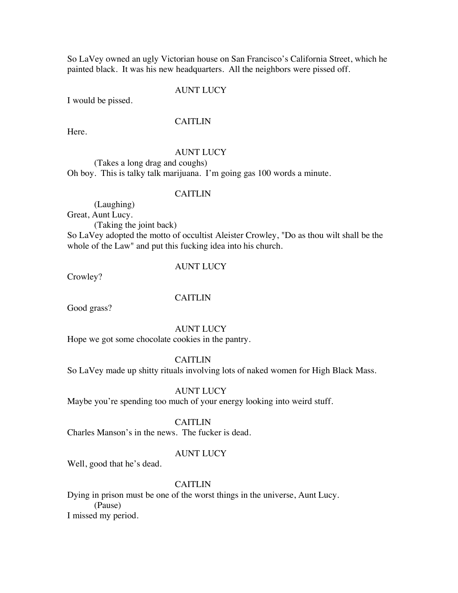So LaVey owned an ugly Victorian house on San Francisco's California Street, which he painted black. It was his new headquarters. All the neighbors were pissed off.

#### AUNT LUCY

I would be pissed.

## CAITLIN

Here.

#### AUNT LUCY

(Takes a long drag and coughs) Oh boy. This is talky talk marijuana. I'm going gas 100 words a minute.

#### CAITLIN

(Laughing) Great, Aunt Lucy.

(Taking the joint back)

So LaVey adopted the motto of occultist Aleister Crowley, "Do as thou wilt shall be the whole of the Law" and put this fucking idea into his church.

#### AUNT LUCY

Crowley?

#### **CAITLIN**

Good grass?

AUNT LUCY

Hope we got some chocolate cookies in the pantry.

CAITLIN

So LaVey made up shitty rituals involving lots of naked women for High Black Mass.

#### AUNT LUCY

Maybe you're spending too much of your energy looking into weird stuff.

#### CAITLIN

Charles Manson's in the news. The fucker is dead.

#### AUNT LUCY

Well, good that he's dead.

## CAITLIN

Dying in prison must be one of the worst things in the universe, Aunt Lucy. (Pause) I missed my period.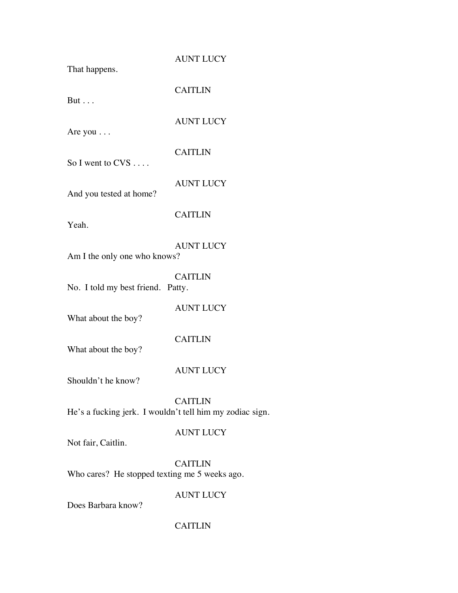| That happens.                                            | <b>AUNT LUCY</b> |
|----------------------------------------------------------|------------------|
| But $\ldots$                                             | <b>CAITLIN</b>   |
| Are you                                                  | <b>AUNT LUCY</b> |
| So I went to $CVS$                                       | <b>CAITLIN</b>   |
| And you tested at home?                                  | <b>AUNT LUCY</b> |
| Yeah.                                                    | <b>CAITLIN</b>   |
| Am I the only one who knows?                             | <b>AUNT LUCY</b> |
| No. I told my best friend. Patty.                        | <b>CAITLIN</b>   |
| What about the boy?                                      | <b>AUNT LUCY</b> |
| What about the boy?                                      | <b>CAITLIN</b>   |
| Shouldn't he know?                                       | <b>AUNT LUCY</b> |
| He's a fucking jerk. I wouldn't tell him my zodiac sign. | <b>CAITLIN</b>   |
| Not fair, Caitlin.                                       | <b>AUNT LUCY</b> |
| Who cares? He stopped texting me 5 weeks ago.            | <b>CAITLIN</b>   |
|                                                          | <b>AUNT LUCY</b> |

Does Barbara know?

## CAITLIN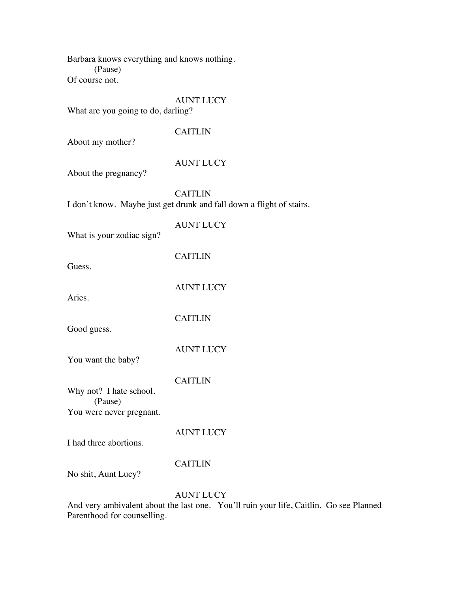Barbara knows everything and knows nothing. (Pause) Of course not.

## AUNT LUCY

What are you going to do, darling?

## CAITLIN

About my mother?

## AUNT LUCY

About the pregnancy?

## CAITLIN

I don't know. Maybe just get drunk and fall down a flight of stairs.

AUNT LUCY What is your zodiac sign? CAITLIN

Guess.

AUNT LUCY

**CAITLIN** 

Aries.

Good guess.

AUNT LUCY

You want the baby?

CAITLIN

Why not? I hate school. (Pause) You were never pregnant.

I had three abortions.

AUNT LUCY

## CAITLIN

No shit, Aunt Lucy?

## AUNT LUCY

And very ambivalent about the last one. You'll ruin your life, Caitlin. Go see Planned Parenthood for counselling.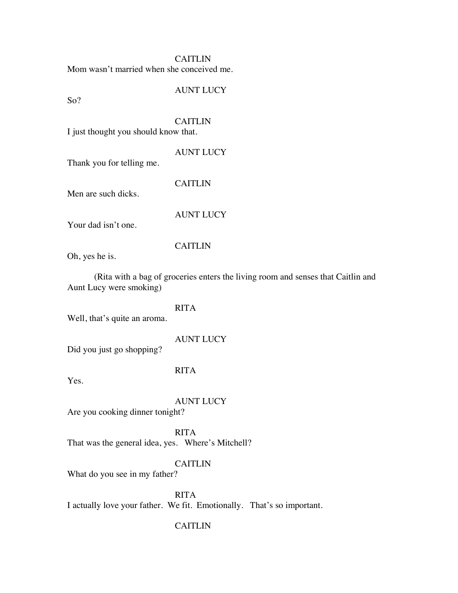**CAITLIN** Mom wasn't married when she conceived me.

AUNT LUCY

So?

## CAITLIN

CAITLIN

I just thought you should know that.

## AUNT LUCY

Thank you for telling me.

Men are such dicks.

## AUNT LUCY

Your dad isn't one.

## CAITLIN

Oh, yes he is.

(Rita with a bag of groceries enters the living room and senses that Caitlin and Aunt Lucy were smoking)

## RITA

Well, that's quite an aroma.

AUNT LUCY

Did you just go shopping?

## RITA

Yes.

## AUNT LUCY

Are you cooking dinner tonight?

RITA That was the general idea, yes. Where's Mitchell?

## CAITLIN

What do you see in my father?

RITA I actually love your father. We fit. Emotionally. That's so important.

## CAITLIN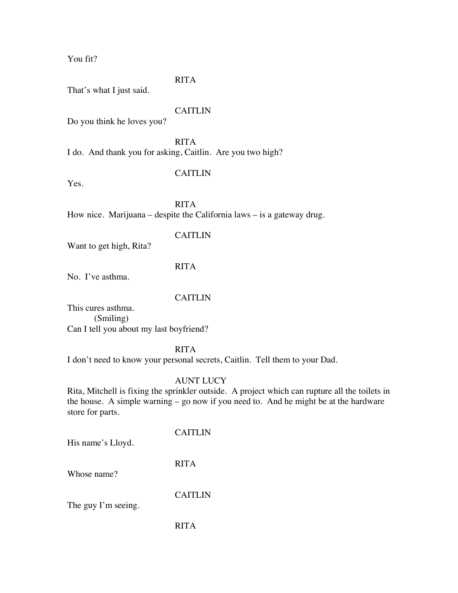You fit?

## RITA

That's what I just said.

#### CAITLIN

Do you think he loves you?

RITA I do. And thank you for asking, Caitlin. Are you two high?

## CAITLIN

Yes.

RITA How nice. Marijuana – despite the California laws – is a gateway drug.

#### CAITLIN

Want to get high, Rita?

#### RITA

No. I've asthma.

## CAITLIN

This cures asthma. (Smiling) Can I tell you about my last boyfriend?

#### RITA

I don't need to know your personal secrets, Caitlin. Tell them to your Dad.

## AUNT LUCY

Rita, Mitchell is fixing the sprinkler outside. A project which can rupture all the toilets in the house. A simple warning – go now if you need to. And he might be at the hardware store for parts.

His name's Lloyd.

## CAITLIN

RITA

Whose name?

CAITLIN

The guy I'm seeing.

RITA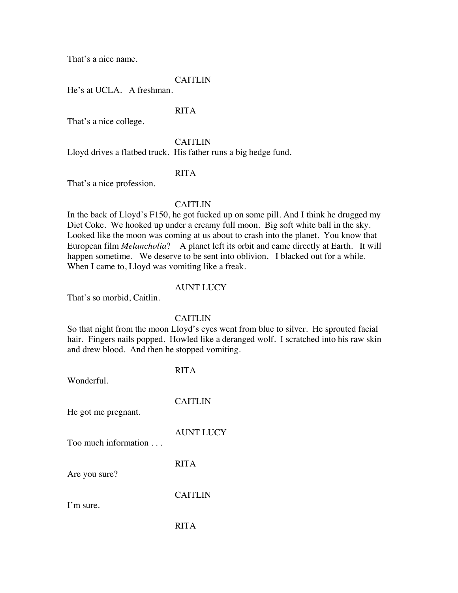That's a nice name.

## CAITLIN

He's at UCLA. A freshman.

#### RITA

That's a nice college.

#### **CAITLIN**

Lloyd drives a flatbed truck. His father runs a big hedge fund.

## RITA

That's a nice profession.

#### CAITLIN

In the back of Lloyd's F150, he got fucked up on some pill. And I think he drugged my Diet Coke. We hooked up under a creamy full moon. Big soft white ball in the sky. Looked like the moon was coming at us about to crash into the planet. You know that European film *Melancholia*? A planet left its orbit and came directly at Earth. It will happen sometime. We deserve to be sent into oblivion. I blacked out for a while. When I came to, Lloyd was vomiting like a freak.

#### AUNT LUCY

That's so morbid, Caitlin.

#### **CAITLIN**

So that night from the moon Lloyd's eyes went from blue to silver. He sprouted facial hair. Fingers nails popped. Howled like a deranged wolf. I scratched into his raw skin and drew blood. And then he stopped vomiting.

| Wonderful.           | <b>RITA</b>      |
|----------------------|------------------|
| He got me pregnant.  | <b>CAITLIN</b>   |
| Too much information | <b>AUNT LUCY</b> |
| Are you sure?        | <b>RITA</b>      |
| I'm sure.            | <b>CAITLIN</b>   |
|                      | RITA             |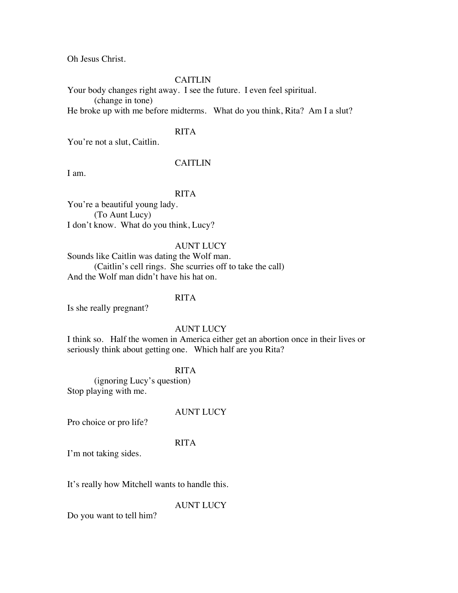Oh Jesus Christ.

#### CAITLIN

Your body changes right away. I see the future. I even feel spiritual. (change in tone) He broke up with me before midterms. What do you think, Rita? Am I a slut?

## RITA

You're not a slut, Caitlin.

## CAITLIN

I am.

## RITA

You're a beautiful young lady. (To Aunt Lucy) I don't know. What do you think, Lucy?

#### AUNT LUCY

Sounds like Caitlin was dating the Wolf man. (Caitlin's cell rings. She scurries off to take the call) And the Wolf man didn't have his hat on.

## RITA

Is she really pregnant?

#### AUNT LUCY

I think so. Half the women in America either get an abortion once in their lives or seriously think about getting one. Which half are you Rita?

## RITA

(ignoring Lucy's question) Stop playing with me.

## AUNT LUCY

Pro choice or pro life?

#### RITA

I'm not taking sides.

It's really how Mitchell wants to handle this.

AUNT LUCY

Do you want to tell him?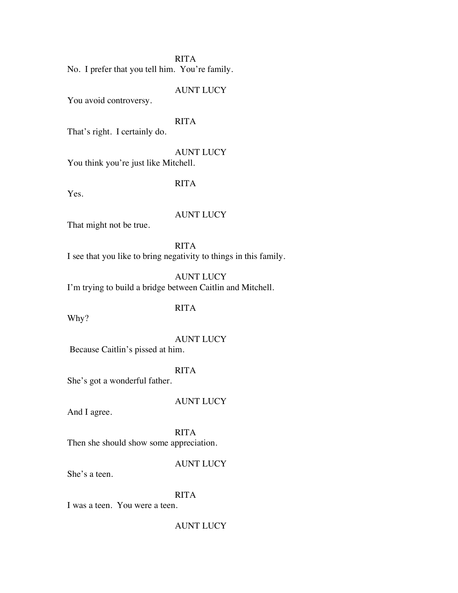#### RITA

No. I prefer that you tell him. You're family.

#### AUNT LUCY

You avoid controversy.

#### RITA

That's right. I certainly do.

AUNT LUCY You think you're just like Mitchell.

## RITA

Yes.

#### AUNT LUCY

That might not be true.

RITA I see that you like to bring negativity to things in this family.

AUNT LUCY I'm trying to build a bridge between Caitlin and Mitchell.

## RITA

Why?

AUNT LUCY

Because Caitlin's pissed at him.

## RITA

She's got a wonderful father.

#### AUNT LUCY

And I agree.

RITA Then she should show some appreciation.

#### AUNT LUCY

She's a teen.

## RITA

I was a teen. You were a teen.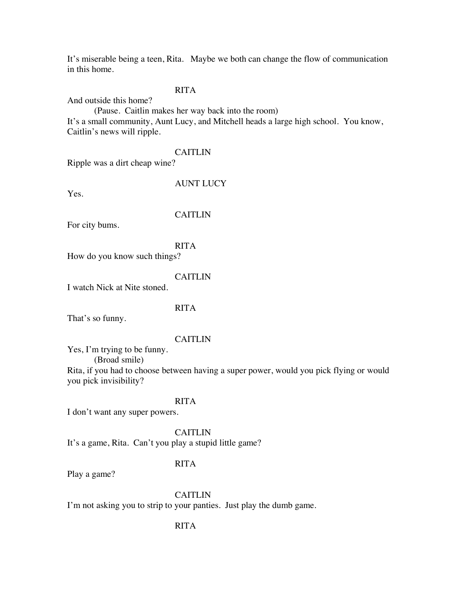It's miserable being a teen, Rita. Maybe we both can change the flow of communication in this home.

#### RITA

And outside this home?

(Pause. Caitlin makes her way back into the room) It's a small community, Aunt Lucy, and Mitchell heads a large high school. You know, Caitlin's news will ripple.

#### CAITLIN

Ripple was a dirt cheap wine?

Yes.

#### AUNT LUCY

CAITLIN

For city bums.

#### RITA

How do you know such things?

#### **CAITLIN**

I watch Nick at Nite stoned.

#### RITA

That's so funny.

#### **CAITLIN**

Yes, I'm trying to be funny.

(Broad smile)

Rita, if you had to choose between having a super power, would you pick flying or would you pick invisibility?

#### RITA

I don't want any super powers.

CAITLIN

It's a game, Rita. Can't you play a stupid little game?

#### RITA

Play a game?

#### CAITLIN

I'm not asking you to strip to your panties. Just play the dumb game.

#### RITA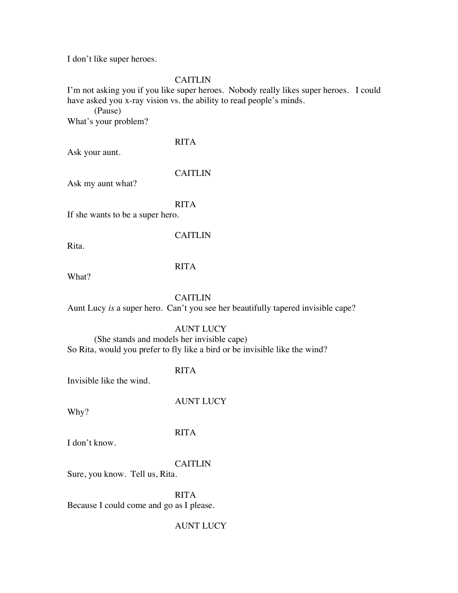I don't like super heroes.

#### CAITLIN

I'm not asking you if you like super heroes. Nobody really likes super heroes. I could have asked you x-ray vision vs. the ability to read people's minds.

(Pause) What's your problem?

RITA

Ask your aunt.

#### CAITLIN

Ask my aunt what?

#### RITA

If she wants to be a super hero.

Rita.

#### CAITLIN

#### RITA

What?

#### **CAITLIN**

Aunt Lucy *is* a super hero. Can't you see her beautifully tapered invisible cape?

#### AUNT LUCY

(She stands and models her invisible cape) So Rita, would you prefer to fly like a bird or be invisible like the wind?

#### RITA

Invisible like the wind.

AUNT LUCY

Why?

#### RITA

I don't know.

#### CAITLIN

Sure, you know. Tell us, Rita.

RITA Because I could come and go as I please.

#### AUNT LUCY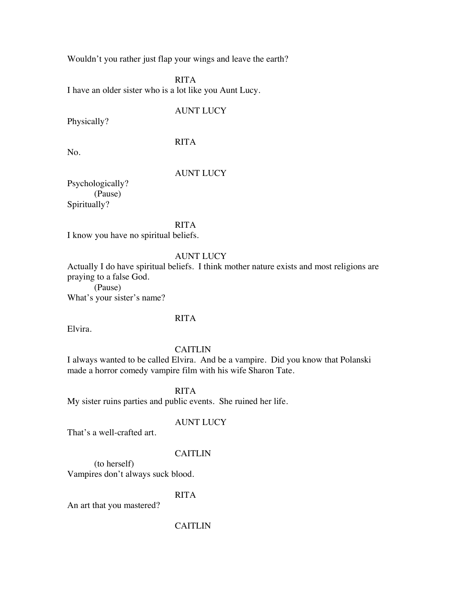Wouldn't you rather just flap your wings and leave the earth?

RITA I have an older sister who is a lot like you Aunt Lucy.

AUNT LUCY

Physically?

RITA

No.

#### AUNT LUCY

Psychologically? (Pause) Spiritually?

RITA

I know you have no spiritual beliefs.

#### AUNT LUCY

Actually I do have spiritual beliefs. I think mother nature exists and most religions are praying to a false God.

(Pause) What's your sister's name?

#### RITA

Elvira.

#### CAITLIN

I always wanted to be called Elvira. And be a vampire. Did you know that Polanski made a horror comedy vampire film with his wife Sharon Tate.

RITA

My sister ruins parties and public events. She ruined her life.

#### AUNT LUCY

That's a well-crafted art.

#### CAITLIN

(to herself) Vampires don't always suck blood.

#### RITA

An art that you mastered?

#### CAITLIN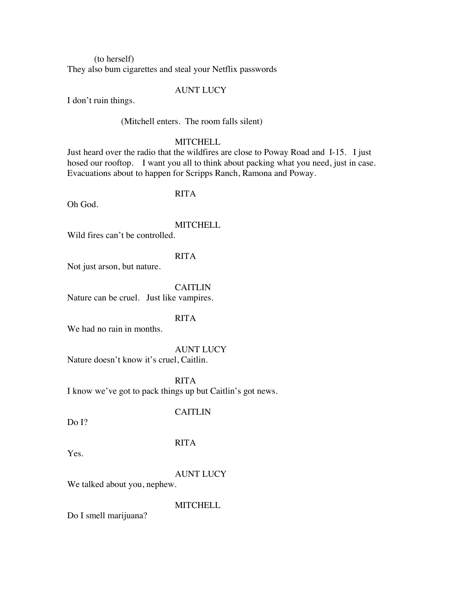(to herself) They also bum cigarettes and steal your Netflix passwords

#### AUNT LUCY

I don't ruin things.

(Mitchell enters. The room falls silent)

#### **MITCHELL**

Just heard over the radio that the wildfires are close to Poway Road and I-15. I just hosed our rooftop. I want you all to think about packing what you need, just in case. Evacuations about to happen for Scripps Ranch, Ramona and Poway.

#### RITA

Oh God.

**MITCHELL** 

Wild fires can't be controlled.

#### RITA

Not just arson, but nature.

**CAITLIN** Nature can be cruel. Just like vampires.

#### RITA

We had no rain in months.

#### AUNT LUCY

Nature doesn't know it's cruel, Caitlin.

RITA I know we've got to pack things up but Caitlin's got news.

#### CAITLIN

Do I?

#### RITA

Yes.

#### AUNT LUCY

We talked about you, nephew.

**MITCHELL** 

Do I smell marijuana?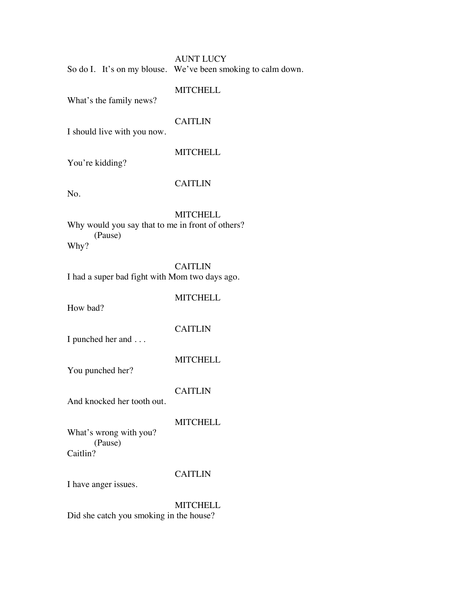|  | <b>AUNT LUCY</b>                                             |
|--|--------------------------------------------------------------|
|  | So do I. It's on my blouse. We've been smoking to calm down. |

What's the family news?

#### CAITLIN

I should live with you now.

#### **MITCHELL**

You're kidding?

#### CAITLIN

No.

**MITCHELL** Why would you say that to me in front of others? (Pause) Why?

CAITLIN I had a super bad fight with Mom two days ago.

**MITCHELL** 

How bad?

#### CAITLIN

I punched her and . . .

**MITCHELL** 

You punched her?

#### CAITLIN

And knocked her tooth out.

### **MITCHELL**

What's wrong with you? (Pause) Caitlin?

#### CAITLIN

I have anger issues.

**MITCHELL** Did she catch you smoking in the house?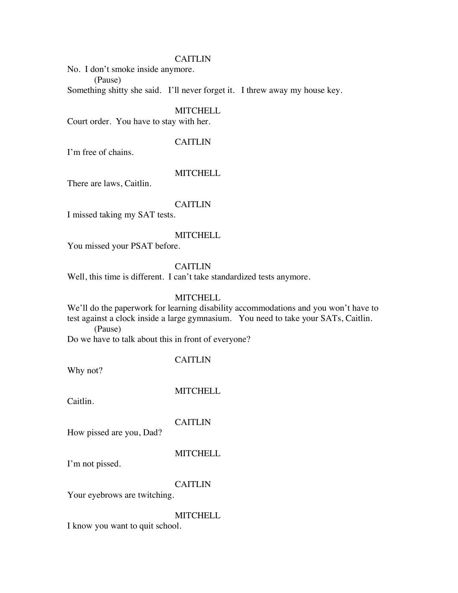#### CAITLIN

No. I don't smoke inside anymore. (Pause)

Something shitty she said. I'll never forget it. I threw away my house key.

**MITCHELL** 

Court order. You have to stay with her.

#### CAITLIN

I'm free of chains.

#### **MITCHELL**

There are laws, Caitlin.

#### CAITLIN

I missed taking my SAT tests.

#### **MITCHELL**

You missed your PSAT before.

#### CAITLIN

Well, this time is different. I can't take standardized tests anymore.

#### **MITCHELL**

We'll do the paperwork for learning disability accommodations and you won't have to test against a clock inside a large gymnasium. You need to take your SATs, Caitlin. (Pause)

Do we have to talk about this in front of everyone?

CAITLIN

Why not?

**MITCHELL** 

Caitlin.

**CAITLIN** 

How pissed are you, Dad?

**MITCHELL** 

I'm not pissed.

#### CAITLIN

Your eyebrows are twitching.

#### **MITCHELL**

I know you want to quit school.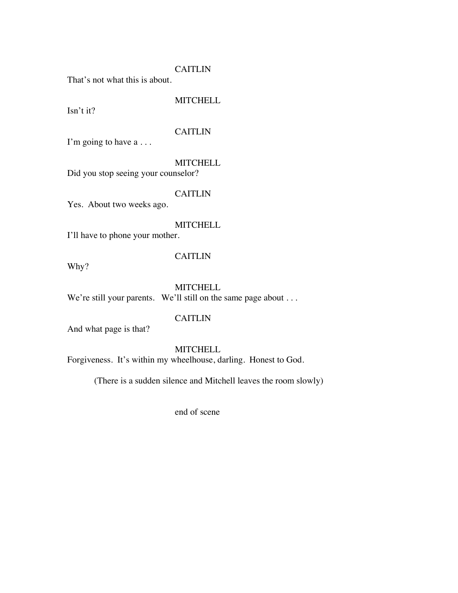#### CAITLIN

That's not what this is about.

#### **MITCHELL**

Isn't it?

#### CAITLIN

I'm going to have a ...

**MITCHELL** 

Did you stop seeing your counselor?

#### CAITLIN

Yes. About two weeks ago.

#### **MITCHELL**

I'll have to phone your mother.

Why?

#### CAITLIN

**MITCHELL** We're still your parents. We'll still on the same page about . . .

#### CAITLIN

And what page is that?

#### **MITCHELL**

Forgiveness. It's within my wheelhouse, darling. Honest to God.

(There is a sudden silence and Mitchell leaves the room slowly)

end of scene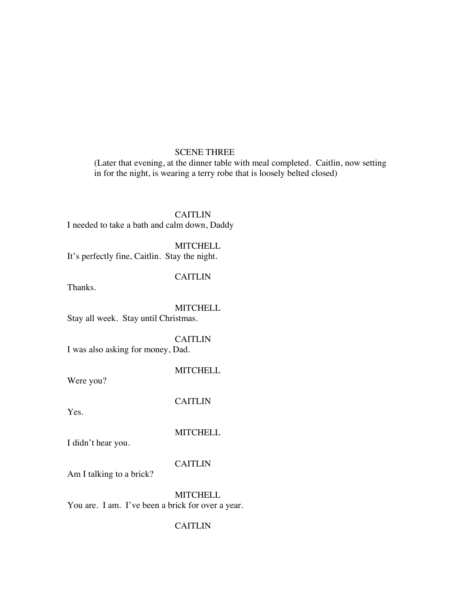#### SCENE THREE

(Later that evening, at the dinner table with meal completed. Caitlin, now setting in for the night, is wearing a terry robe that is loosely belted closed)

CAITLIN I needed to take a bath and calm down, Daddy

**MITCHELL** It's perfectly fine, Caitlin. Stay the night.

#### CAITLIN

Thanks.

**MITCHELL** Stay all week. Stay until Christmas.

CAITLIN

I was also asking for money, Dad.

**MITCHELL** 

Were you?

CAITLIN

Yes.

**MITCHELL** 

I didn't hear you.

CAITLIN

Am I talking to a brick?

**MITCHELL** You are. I am. I've been a brick for over a year.

#### CAITLIN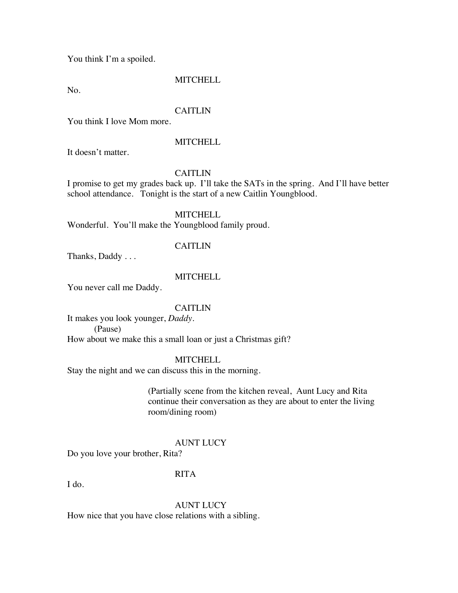You think I'm a spoiled.

#### **MITCHELL**

No.

#### CAITLIN

You think I love Mom more.

#### **MITCHELL**

It doesn't matter.

#### CAITLIN

I promise to get my grades back up. I'll take the SATs in the spring. And I'll have better school attendance. Tonight is the start of a new Caitlin Youngblood.

#### **MITCHELL**

Wonderful. You'll make the Youngblood family proud.

#### **CAITLIN**

Thanks, Daddy . . .

#### **MITCHELL**

You never call me Daddy.

#### CAITLIN

It makes you look younger, *Daddy.* (Pause) How about we make this a small loan or just a Christmas gift?

#### **MITCHELL**

Stay the night and we can discuss this in the morning.

(Partially scene from the kitchen reveal, Aunt Lucy and Rita continue their conversation as they are about to enter the living room/dining room)

#### AUNT LUCY

Do you love your brother, Rita?

#### RITA

I do.

AUNT LUCY How nice that you have close relations with a sibling.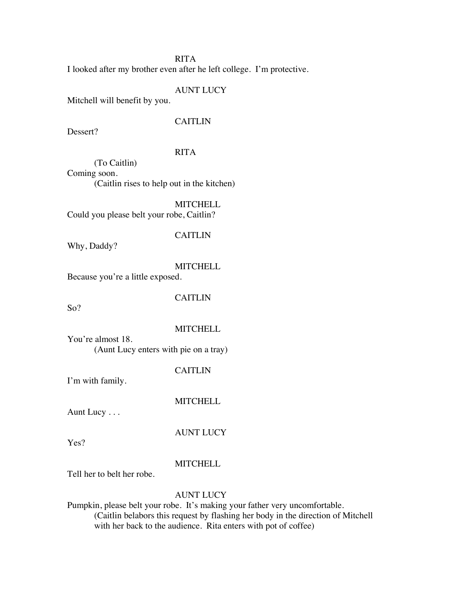#### RITA

I looked after my brother even after he left college. I'm protective.

#### AUNT LUCY

Mitchell will benefit by you.

#### **CAITLIN**

Dessert?

#### RITA

(To Caitlin) Coming soon. (Caitlin rises to help out in the kitchen)

**MITCHELL** Could you please belt your robe, Caitlin?

#### CAITLIN

Why, Daddy?

**MITCHELL** 

Because you're a little exposed.

So?

#### **CAITLIN**

**MITCHELL** 

You're almost 18. (Aunt Lucy enters with pie on a tray)

CAITLIN

I'm with family.

#### **MITCHELL**

Aunt Lucy . . .

AUNT LUCY

Yes?

#### **MITCHELL**

Tell her to belt her robe.

#### AUNT LUCY

Pumpkin, please belt your robe. It's making your father very uncomfortable. (Caitlin belabors this request by flashing her body in the direction of Mitchell with her back to the audience. Rita enters with pot of coffee)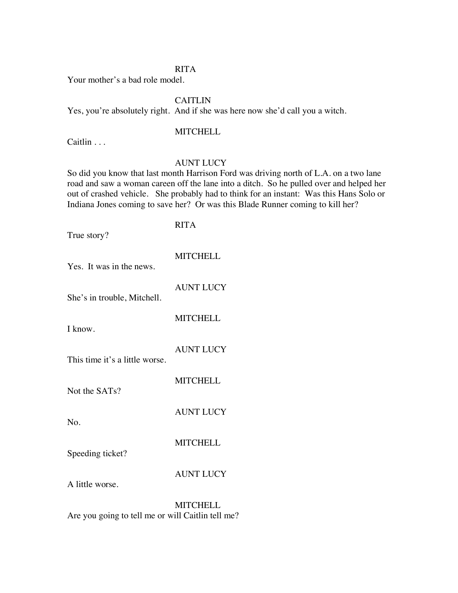#### RITA

Your mother's a bad role model.

#### **CAITLIN**

Yes, you're absolutely right. And if she was here now she'd call you a witch.

#### **MITCHELL**

Caitlin . . .

#### AUNT LUCY

So did you know that last month Harrison Ford was driving north of L.A. on a two lane road and saw a woman careen off the lane into a ditch. So he pulled over and helped her out of crashed vehicle. She probably had to think for an instant: Was this Hans Solo or Indiana Jones coming to save her? Or was this Blade Runner coming to kill her?

#### RITA

True story?

**MITCHELL** 

AUNT LUCY

**MITCHELL** 

AUNT LUCY

**MITCHELL** 

She's in trouble, Mitchell.

Yes. It was in the news.

I know.

No.

This time it's a little worse.

Not the SATs?

AUNT LUCY

Speeding ticket?

AUNT LUCY

**MITCHELL** 

A little worse.

**MITCHELL** Are you going to tell me or will Caitlin tell me?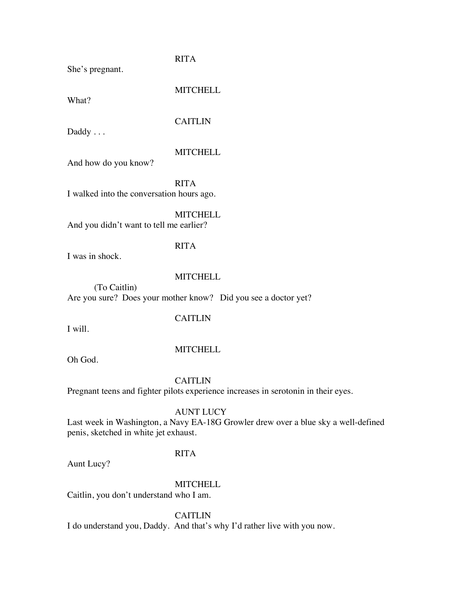She's pregnant.

RITA

What?

**MITCHELL** 

#### CAITLIN

Daddy . . .

#### **MITCHELL**

And how do you know?

RITA

I walked into the conversation hours ago.

**MITCHELL** 

And you didn't want to tell me earlier?

#### RITA

I was in shock.

#### **MITCHELL**

(To Caitlin) Are you sure? Does your mother know? Did you see a doctor yet?

#### CAITLIN

I will.

#### MITCHELL

Oh God.

**CAITLIN** 

Pregnant teens and fighter pilots experience increases in serotonin in their eyes.

#### AUNT LUCY

Last week in Washington, a Navy EA-18G Growler drew over a blue sky a well-defined penis, sketched in white jet exhaust.

#### RITA

Aunt Lucy?

#### **MITCHELL**

Caitlin, you don't understand who I am.

CAITLIN

I do understand you, Daddy. And that's why I'd rather live with you now.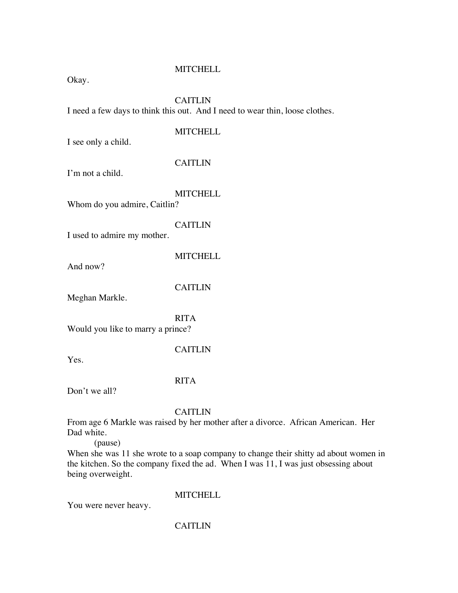Okay.

#### **CAITLIN**

I need a few days to think this out. And I need to wear thin, loose clothes.

#### **MITCHELL**

I see only a child.

#### CAITLIN

I'm not a child.

**MITCHELL** 

Whom do you admire, Caitlin?

#### **CAITLIN**

I used to admire my mother.

**MITCHELL** 

And now?

CAITLIN

Meghan Markle.

RITA Would you like to marry a prince?

#### CAITLIN

Yes.

#### RITA

Don't we all?

#### CAITLIN

From age 6 Markle was raised by her mother after a divorce. African American. Her Dad white.

(pause)

When she was 11 she wrote to a soap company to change their shitty ad about women in the kitchen. So the company fixed the ad. When I was 11, I was just obsessing about being overweight.

#### **MITCHELL**

You were never heavy.

#### CAITLIN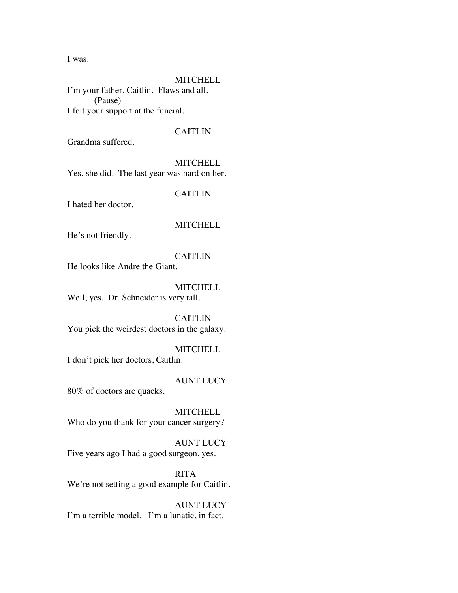I was.

#### **MITCHELL**

I'm your father, Caitlin. Flaws and all. (Pause) I felt your support at the funeral.

#### CAITLIN

Grandma suffered.

**MITCHELL** Yes, she did. The last year was hard on her.

CAITLIN

I hated her doctor.

#### **MITCHELL**

He's not friendly.

#### CAITLIN

He looks like Andre the Giant.

**MITCHELL** Well, yes. Dr. Schneider is very tall.

**CAITLIN** You pick the weirdest doctors in the galaxy.

**MITCHELL** I don't pick her doctors, Caitlin.

#### AUNT LUCY

80% of doctors are quacks.

**MITCHELL** Who do you thank for your cancer surgery?

AUNT LUCY Five years ago I had a good surgeon, yes.

RITA We're not setting a good example for Caitlin.

AUNT LUCY I'm a terrible model. I'm a lunatic, in fact.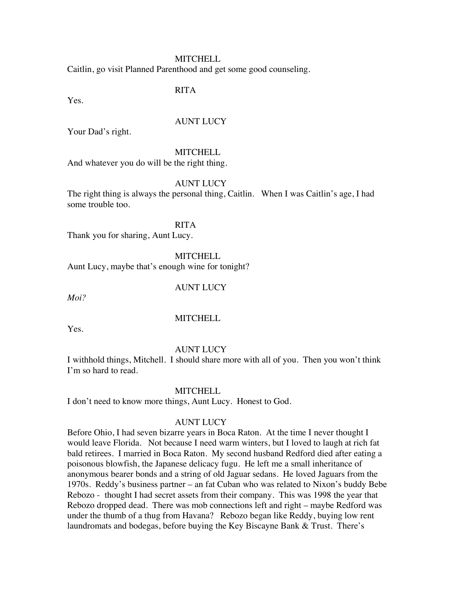Caitlin, go visit Planned Parenthood and get some good counseling.

RITA

Yes.

#### AUNT LUCY

Your Dad's right.

#### **MITCHELL**

And whatever you do will be the right thing.

#### AUNT LUCY

The right thing is always the personal thing, Caitlin. When I was Caitlin's age, I had some trouble too.

RITA Thank you for sharing, Aunt Lucy.

**MITCHELL** 

Aunt Lucy, maybe that's enough wine for tonight?

#### AUNT LUCY

*Moi?*

#### **MITCHELL**

Yes.

#### AUNT LUCY

I withhold things, Mitchell. I should share more with all of you. Then you won't think I'm so hard to read.

#### **MITCHELL**

I don't need to know more things, Aunt Lucy. Honest to God.

#### AUNT LUCY

Before Ohio, I had seven bizarre years in Boca Raton. At the time I never thought I would leave Florida. Not because I need warm winters, but I loved to laugh at rich fat bald retirees. I married in Boca Raton. My second husband Redford died after eating a poisonous blowfish, the Japanese delicacy fugu. He left me a small inheritance of anonymous bearer bonds and a string of old Jaguar sedans. He loved Jaguars from the 1970s. Reddy's business partner – an fat Cuban who was related to Nixon's buddy Bebe Rebozo - thought I had secret assets from their company. This was 1998 the year that Rebozo dropped dead. There was mob connections left and right – maybe Redford was under the thumb of a thug from Havana? Rebozo began like Reddy, buying low rent laundromats and bodegas, before buying the Key Biscayne Bank & Trust. There's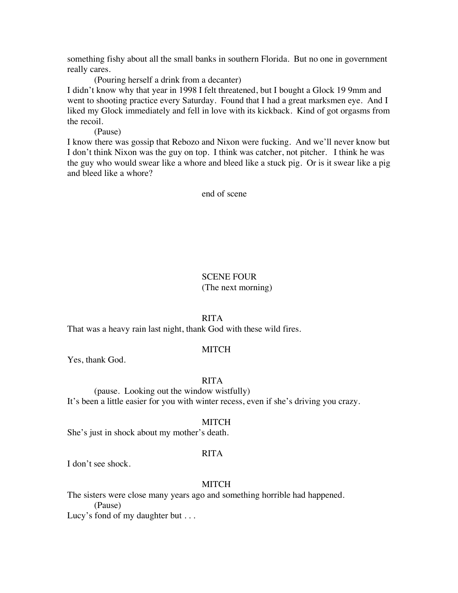something fishy about all the small banks in southern Florida. But no one in government really cares.

(Pouring herself a drink from a decanter)

I didn't know why that year in 1998 I felt threatened, but I bought a Glock 19 9mm and went to shooting practice every Saturday. Found that I had a great marksmen eye. And I liked my Glock immediately and fell in love with its kickback. Kind of got orgasms from the recoil.

(Pause)

I know there was gossip that Rebozo and Nixon were fucking. And we'll never know but I don't think Nixon was the guy on top. I think was catcher, not pitcher. I think he was the guy who would swear like a whore and bleed like a stuck pig. Or is it swear like a pig and bleed like a whore?

end of scene

#### SCENE FOUR

(The next morning)

#### RITA

That was a heavy rain last night, thank God with these wild fires.

#### MITCH

Yes, thank God.

#### RITA

(pause. Looking out the window wistfully) It's been a little easier for you with winter recess, even if she's driving you crazy.

#### MITCH

She's just in shock about my mother's death.

#### RITA

I don't see shock.

#### **MITCH**

The sisters were close many years ago and something horrible had happened. (Pause)

Lucy's fond of my daughter but . . .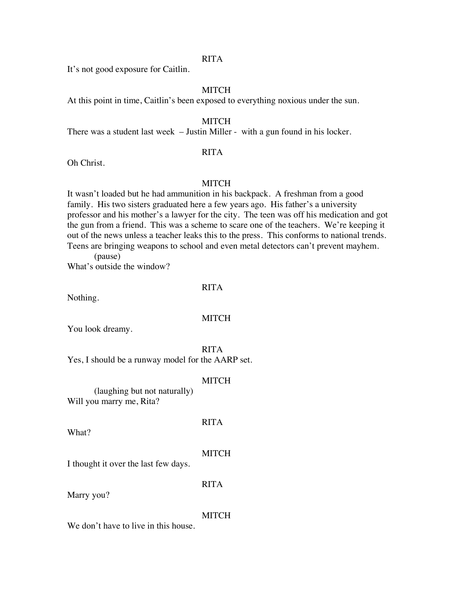#### RITA

It's not good exposure for Caitlin.

#### **MITCH**

At this point in time, Caitlin's been exposed to everything noxious under the sun.

#### MITCH

There was a student last week – Justin Miller - with a gun found in his locker.

#### RITA

Oh Christ.

#### **MITCH**

It wasn't loaded but he had ammunition in his backpack. A freshman from a good family. His two sisters graduated here a few years ago. His father's a university professor and his mother's a lawyer for the city. The teen was off his medication and got the gun from a friend. This was a scheme to scare one of the teachers. We're keeping it out of the news unless a teacher leaks this to the press. This conforms to national trends. Teens are bringing weapons to school and even metal detectors can't prevent mayhem. (pause)

What's outside the window?

#### RITA

Nothing.

#### **MITCH**

You look dreamy.

#### RITA

Yes, I should be a runway model for the AARP set.

#### MITCH

(laughing but not naturally) Will you marry me, Rita?

What?

# **MITCH**

RITA

I thought it over the last few days.

Marry you?

#### RITA

#### MITCH

We don't have to live in this house.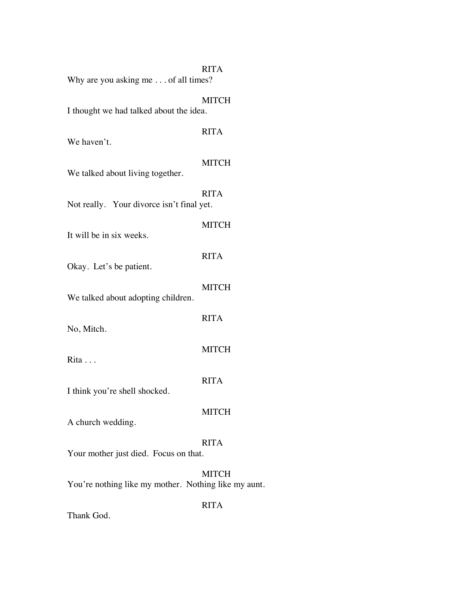| Why are you asking me of all times?                  | <b>RITA</b>  |
|------------------------------------------------------|--------------|
| I thought we had talked about the idea.              | <b>MITCH</b> |
| We haven't.                                          | <b>RITA</b>  |
| We talked about living together.                     | <b>MITCH</b> |
| Not really. Your divorce isn't final yet.            | <b>RITA</b>  |
| It will be in six weeks.                             | <b>MITCH</b> |
| Okay. Let's be patient.                              | <b>RITA</b>  |
| We talked about adopting children.                   | <b>MITCH</b> |
| No, Mitch.                                           | <b>RITA</b>  |
| Rita                                                 | <b>MITCH</b> |
|                                                      | <b>RITA</b>  |
| I think you're shell shocked.                        | <b>MITCH</b> |
| A church wedding.                                    | <b>RITA</b>  |
| Your mother just died. Focus on that.                |              |
| You're nothing like my mother. Nothing like my aunt. | <b>MITCH</b> |
|                                                      | <b>RITA</b>  |

Thank God.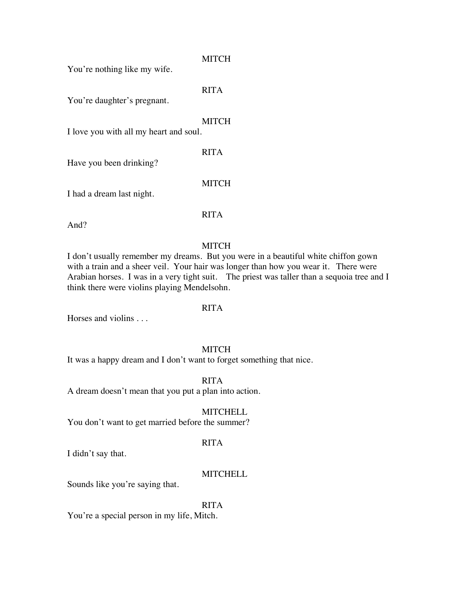#### **MITCH**

You're nothing like my wife.

RITA

You're daughter's pregnant.

#### **MITCH**

RITA

I love you with all my heart and soul.

Have you been drinking?

I had a dream last night.

RITA

**MITCH** 

And?

#### **MITCH**

I don't usually remember my dreams. But you were in a beautiful white chiffon gown with a train and a sheer veil. Your hair was longer than how you wear it. There were Arabian horses. I was in a very tight suit. The priest was taller than a sequoia tree and I think there were violins playing Mendelsohn.

#### RITA

Horses and violins . . .

#### MITCH

It was a happy dream and I don't want to forget something that nice.

RITA A dream doesn't mean that you put a plan into action.

#### **MITCHELL**

You don't want to get married before the summer?

#### RITA

I didn't say that.

#### **MITCHELL**

Sounds like you're saying that.

#### RITA

You're a special person in my life, Mitch.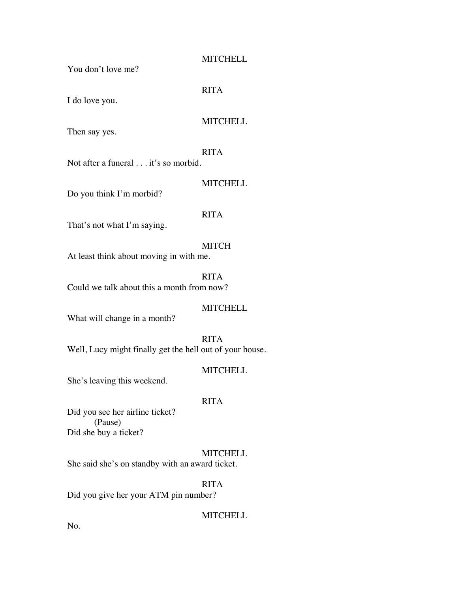You don't love me?

RITA

I do love you.

#### **MITCHELL**

Then say yes.

#### RITA

Not after a funeral . . . it's so morbid.

#### **MITCHELL**

Do you think I'm morbid?

#### RITA

That's not what I'm saying.

#### MITCH

At least think about moving in with me.

RITA Could we talk about this a month from now?

#### MITCHELL

What will change in a month?

### RITA

Well, Lucy might finally get the hell out of your house.

#### **MITCHELL**

She's leaving this weekend.

#### RITA

Did you see her airline ticket? (Pause) Did she buy a ticket?

#### **MITCHELL**

She said she's on standby with an award ticket.

#### RITA

Did you give her your ATM pin number?

#### **MITCHELL**

No.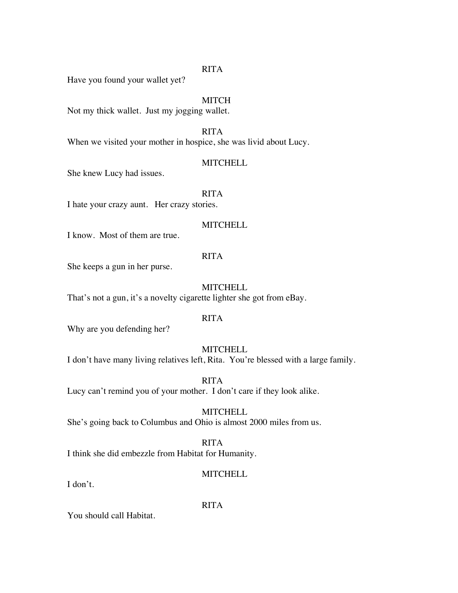#### RITA

Have you found your wallet yet?

#### **MITCH**

Not my thick wallet. Just my jogging wallet.

RITA

When we visited your mother in hospice, she was livid about Lucy.

#### **MITCHELL**

She knew Lucy had issues.

RITA

I hate your crazy aunt. Her crazy stories.

#### **MITCHELL**

I know. Most of them are true.

#### RITA

She keeps a gun in her purse.

#### **MITCHELL**

That's not a gun, it's a novelty cigarette lighter she got from eBay.

#### RITA

Why are you defending her?

#### **MITCHELL**

I don't have many living relatives left, Rita. You're blessed with a large family.

RITA Lucy can't remind you of your mother. I don't care if they look alike.

#### **MITCHELL**

She's going back to Columbus and Ohio is almost 2000 miles from us.

#### RITA

I think she did embezzle from Habitat for Humanity.

#### **MITCHELL**

I don't.

RITA

You should call Habitat.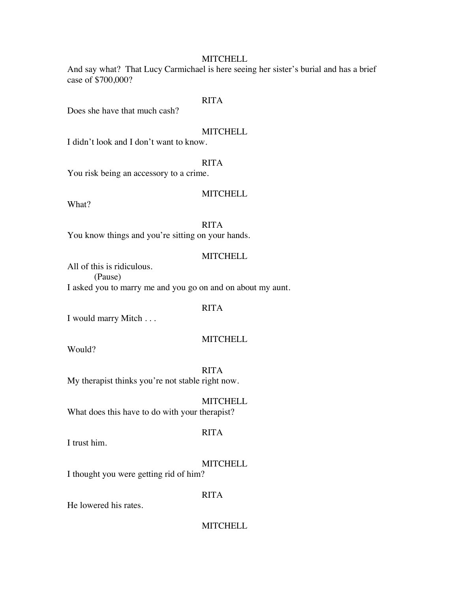And say what? That Lucy Carmichael is here seeing her sister's burial and has a brief case of \$700,000?

#### RITA

Does she have that much cash?

#### **MITCHELL**

I didn't look and I don't want to know.

#### RITA

You risk being an accessory to a crime.

#### **MITCHELL**

What?

#### RITA

You know things and you're sitting on your hands.

#### **MITCHELL**

All of this is ridiculous. (Pause) I asked you to marry me and you go on and on about my aunt.

#### RITA

I would marry Mitch . . .

#### **MITCHELL**

Would?

RITA My therapist thinks you're not stable right now.

**MITCHELL** 

What does this have to do with your therapist?

I trust him.

#### **MITCHELL**

I thought you were getting rid of him?

#### RITA

RITA

He lowered his rates.

#### **MITCHELL**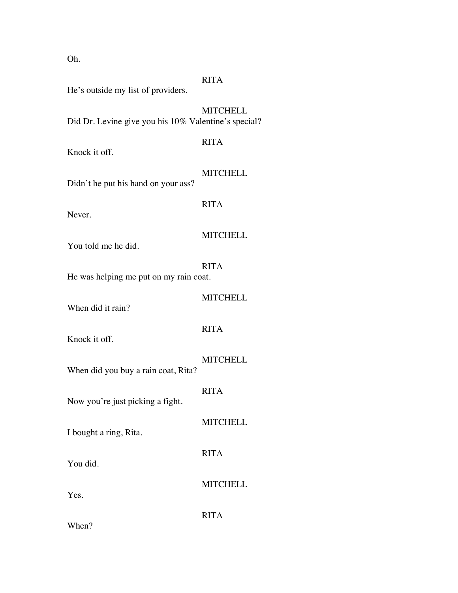| Oh.                                                   |                 |  |  |  |
|-------------------------------------------------------|-----------------|--|--|--|
| He's outside my list of providers.                    | <b>RITA</b>     |  |  |  |
| Did Dr. Levine give you his 10% Valentine's special?  | <b>MITCHELL</b> |  |  |  |
| Knock it off.                                         | <b>RITA</b>     |  |  |  |
| Didn't he put his hand on your ass?                   | <b>MITCHELL</b> |  |  |  |
| Never.                                                | <b>RITA</b>     |  |  |  |
| You told me he did.                                   | <b>MITCHELL</b> |  |  |  |
| <b>RITA</b><br>He was helping me put on my rain coat. |                 |  |  |  |
| When did it rain?                                     | <b>MITCHELL</b> |  |  |  |
| Knock it off.                                         | <b>RITA</b>     |  |  |  |
| When did you buy a rain coat, Rita?                   | <b>MITCHELL</b> |  |  |  |
| Now you're just picking a fight.                      | <b>RITA</b>     |  |  |  |
| I bought a ring, Rita.                                | <b>MITCHELL</b> |  |  |  |
| You did.                                              | <b>RITA</b>     |  |  |  |
| Yes.                                                  | <b>MITCHELL</b> |  |  |  |
|                                                       | <b>RITA</b>     |  |  |  |

When?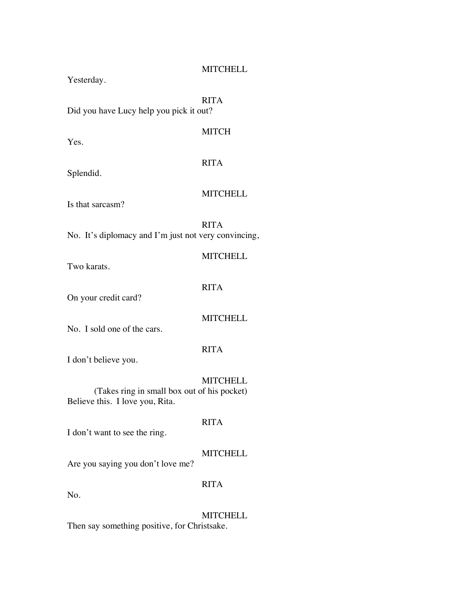Yesterday.

RITA

Did you have Lucy help you pick it out?

Yes.

MITCH

Splendid.

# RITA

Is that sarcasm?

**MITCHELL** 

**MITCHELL** 

RITA

No. It's diplomacy and I'm just not very convincing,

| Two karats.                                                                    |                 |
|--------------------------------------------------------------------------------|-----------------|
| On your credit card?                                                           | <b>RITA</b>     |
| No. I sold one of the cars.                                                    | <b>MITCHELL</b> |
| I don't believe you.                                                           | <b>RITA</b>     |
| (Takes ring in small box out of his pocket)<br>Believe this. I love you, Rita. | <b>MITCHELL</b> |
| I don't want to see the ring.                                                  | <b>RITA</b>     |
| Are you saying you don't love me?                                              | <b>MITCHELL</b> |
| No.                                                                            | <b>RITA</b>     |

**MITCHELL** 

Then say something positive, for Christsake.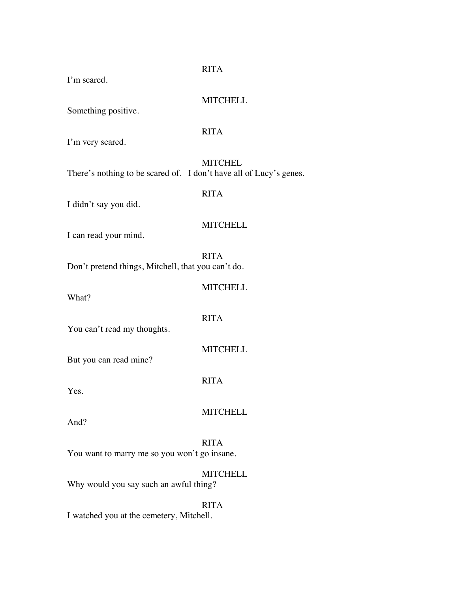RITA I'm scared. **MITCHELL** Something positive. RITA I'm very scared. **MITCHEL** There's nothing to be scared of. I don't have all of Lucy's genes. RITA I didn't say you did. **MITCHELL** I can read your mind. RITA Don't pretend things, Mitchell, that you can't do. **MITCHELL** What? RITA You can't read my thoughts. **MITCHELL** But you can read mine? RITA Yes. **MITCHELL** And? RITA You want to marry me so you won't go insane. **MITCHELL** Why would you say such an awful thing?

RITA I watched you at the cemetery, Mitchell.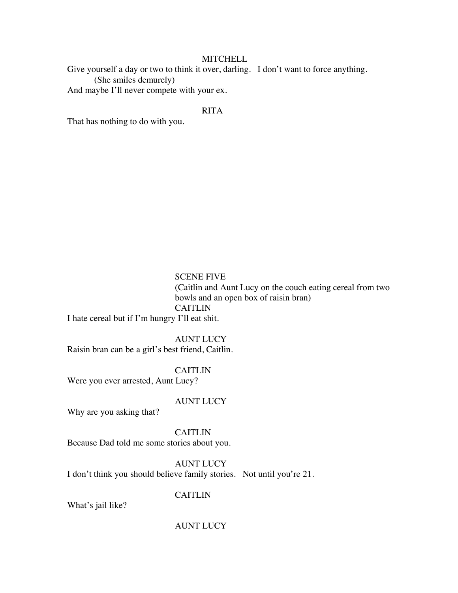Give yourself a day or two to think it over, darling. I don't want to force anything. (She smiles demurely)

And maybe I'll never compete with your ex.

#### RITA

That has nothing to do with you.

#### SCENE FIVE

(Caitlin and Aunt Lucy on the couch eating cereal from two bowls and an open box of raisin bran) CAITLIN

I hate cereal but if I'm hungry I'll eat shit.

AUNT LUCY Raisin bran can be a girl's best friend, Caitlin.

#### CAITLIN

Were you ever arrested, Aunt Lucy?

#### AUNT LUCY

Why are you asking that?

CAITLIN Because Dad told me some stories about you.

AUNT LUCY I don't think you should believe family stories. Not until you're 21.

#### CAITLIN

What's jail like?

#### AUNT LUCY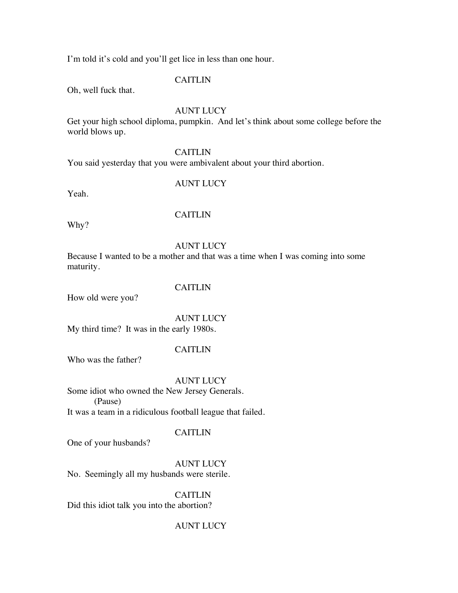I'm told it's cold and you'll get lice in less than one hour.

#### **CAITLIN**

Oh, well fuck that.

#### AUNT LUCY

Get your high school diploma, pumpkin. And let's think about some college before the world blows up.

#### CAITLIN

You said yesterday that you were ambivalent about your third abortion.

#### AUNT LUCY

Yeah.

#### CAITLIN

Why?

#### AUNT LUCY

Because I wanted to be a mother and that was a time when I was coming into some maturity.

#### CAITLIN

How old were you?

AUNT LUCY

My third time? It was in the early 1980s.

#### CAITLIN

Who was the father?

AUNT LUCY

Some idiot who owned the New Jersey Generals. (Pause) It was a team in a ridiculous football league that failed.

#### CAITLIN

One of your husbands?

AUNT LUCY

No. Seemingly all my husbands were sterile.

CAITLIN Did this idiot talk you into the abortion?

#### AUNT LUCY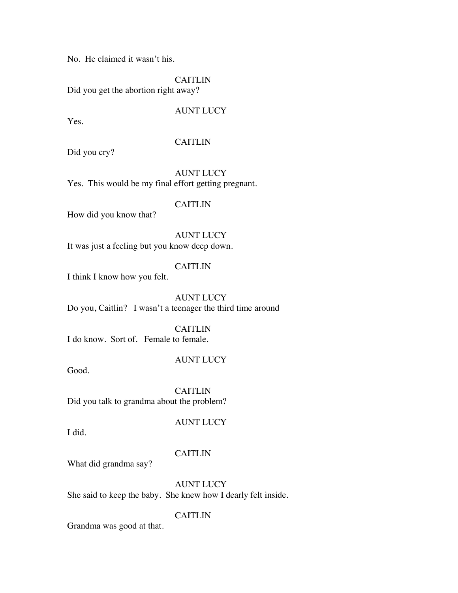No. He claimed it wasn't his.

**CAITLIN** 

Did you get the abortion right away?

#### AUNT LUCY

Yes.

#### CAITLIN

Did you cry?

AUNT LUCY Yes. This would be my final effort getting pregnant.

#### CAITLIN

How did you know that?

AUNT LUCY It was just a feeling but you know deep down.

#### CAITLIN

I think I know how you felt.

AUNT LUCY Do you, Caitlin? I wasn't a teenager the third time around

CAITLIN I do know. Sort of. Female to female.

#### AUNT LUCY

Good.

CAITLIN Did you talk to grandma about the problem?

I did.

#### AUNT LUCY

#### CAITLIN

What did grandma say?

AUNT LUCY She said to keep the baby. She knew how I dearly felt inside.

#### CAITLIN

Grandma was good at that.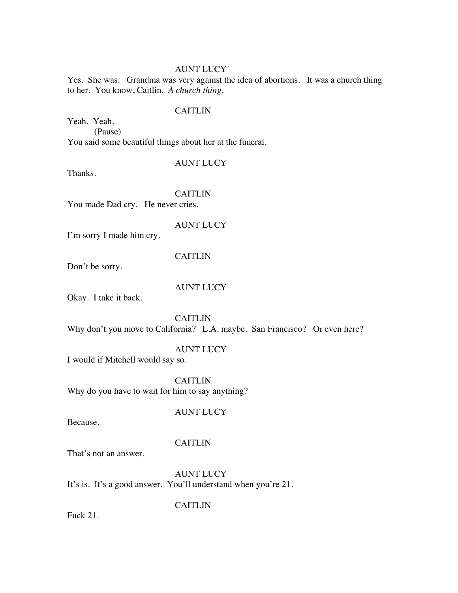#### AUNT LUCY

Yes. She was. Grandma was very against the idea of abortions. It was a church thing to her. You know, Caitlin*. A church thing.*

#### CAITLIN

Yeah. Yeah. (Pause) You said some beautiful things about her at the funeral.

#### AUNT LUCY

Thanks.

#### **CAITLIN**

You made Dad cry. He never cries.

#### AUNT LUCY

I'm sorry I made him cry.

#### CAITLIN

Don't be sorry.

#### AUNT LUCY

Okay. I take it back.

#### CAITLIN Why don't you move to California? L.A. maybe. San Francisco? Or even here?

#### AUNT LUCY

I would if Mitchell would say so.

**CAITLIN** Why do you have to wait for him to say anything?

#### AUNT LUCY

Because.

#### **CAITLIN**

That's not an answer.

AUNT LUCY It's is. It's a good answer. You'll understand when you're 21.

CAITLIN

Fuck 21.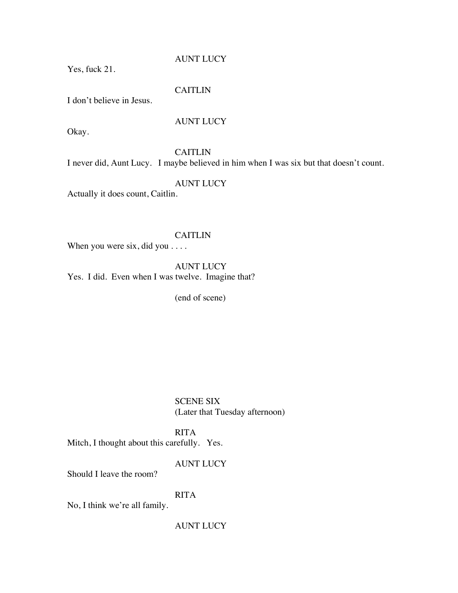AUNT LUCY

Yes, fuck 21.

#### CAITLIN

I don't believe in Jesus.

#### AUNT LUCY

Okay.

CAITLIN

I never did, Aunt Lucy. I maybe believed in him when I was six but that doesn't count.

AUNT LUCY

Actually it does count, Caitlin.

#### CAITLIN

When you were six, did you . . . .

AUNT LUCY Yes. I did. Even when I was twelve. Imagine that?

(end of scene)

SCENE SIX (Later that Tuesday afternoon)

#### RITA

Mitch, I thought about this carefully. Yes.

AUNT LUCY

Should I leave the room?

#### RITA

No, I think we're all family.

AUNT LUCY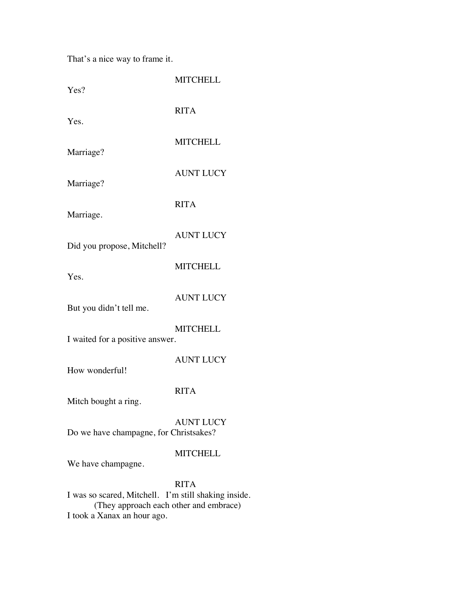That's a nice way to frame it.

| Yes?                                                                                                                          | <b>MITCHELL</b>  |  |  |  |
|-------------------------------------------------------------------------------------------------------------------------------|------------------|--|--|--|
| Yes.                                                                                                                          | <b>RITA</b>      |  |  |  |
| Marriage?                                                                                                                     | <b>MITCHELL</b>  |  |  |  |
| Marriage?                                                                                                                     | <b>AUNT LUCY</b> |  |  |  |
| Marriage.                                                                                                                     | <b>RITA</b>      |  |  |  |
| Did you propose, Mitchell?                                                                                                    | <b>AUNT LUCY</b> |  |  |  |
| Yes.                                                                                                                          | <b>MITCHELL</b>  |  |  |  |
| But you didn't tell me.                                                                                                       | <b>AUNT LUCY</b> |  |  |  |
| <b>MITCHELL</b><br>I waited for a positive answer.                                                                            |                  |  |  |  |
| How wonderful!                                                                                                                | <b>AUNT LUCY</b> |  |  |  |
| Mitch bought a ring.                                                                                                          | <b>RITA</b>      |  |  |  |
| Do we have champagne, for Christsakes?                                                                                        | <b>AUNT LUCY</b> |  |  |  |
| We have champagne.                                                                                                            | <b>MITCHELL</b>  |  |  |  |
| I was so scared, Mitchell. I'm still shaking inside.<br>(They approach each other and embrace)<br>I took a Xanax an hour ago. | <b>RITA</b>      |  |  |  |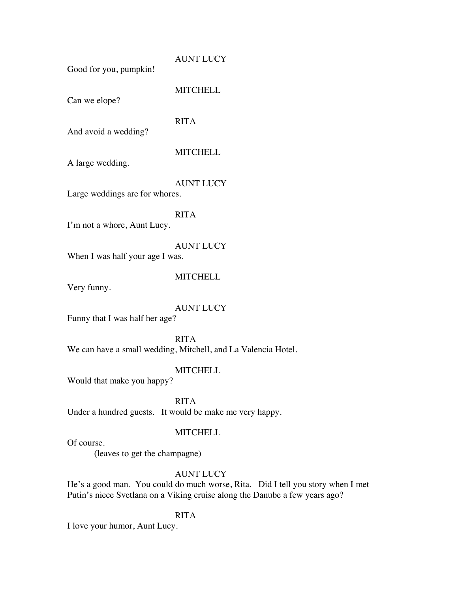#### AUNT LUCY

Good for you, pumpkin!

**MITCHELL** 

Can we elope?

#### RITA

And avoid a wedding?

#### **MITCHELL**

A large wedding.

#### AUNT LUCY

Large weddings are for whores.

#### RITA

I'm not a whore, Aunt Lucy.

#### AUNT LUCY

When I was half your age I was.

#### **MITCHELL**

Very funny.

#### AUNT LUCY

Funny that I was half her age?

RITA We can have a small wedding, Mitchell, and La Valencia Hotel.

#### **MITCHELL**

Would that make you happy?

RITA

Under a hundred guests. It would be make me very happy.

#### **MITCHELL**

Of course.

(leaves to get the champagne)

#### AUNT LUCY

He's a good man. You could do much worse, Rita. Did I tell you story when I met Putin's niece Svetlana on a Viking cruise along the Danube a few years ago?

#### RITA

I love your humor, Aunt Lucy.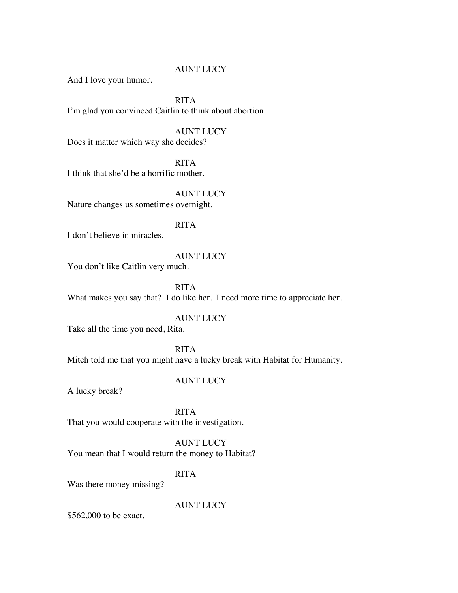#### AUNT LUCY

And I love your humor.

RITA I'm glad you convinced Caitlin to think about abortion.

AUNT LUCY Does it matter which way she decides?

RITA I think that she'd be a horrific mother.

AUNT LUCY Nature changes us sometimes overnight.

I don't believe in miracles.

#### AUNT LUCY

RITA

You don't like Caitlin very much.

RITA What makes you say that? I do like her. I need more time to appreciate her.

#### AUNT LUCY

Take all the time you need, Rita.

RITA Mitch told me that you might have a lucky break with Habitat for Humanity.

#### AUNT LUCY

A lucky break?

RITA That you would cooperate with the investigation.

AUNT LUCY You mean that I would return the money to Habitat?

#### RITA

Was there money missing?

AUNT LUCY

\$562,000 to be exact.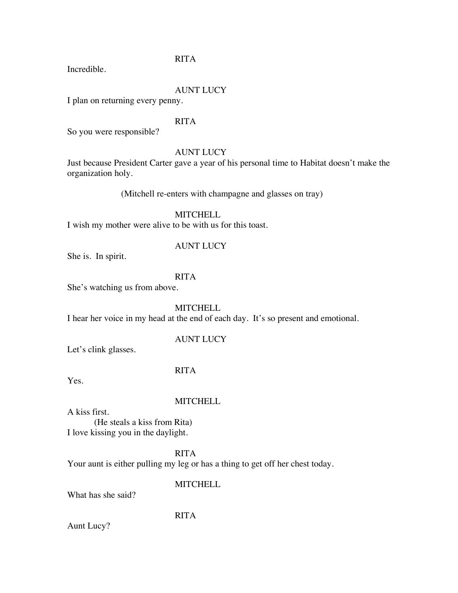#### RITA

Incredible.

#### AUNT LUCY

I plan on returning every penny.

#### RITA

So you were responsible?

#### AUNT LUCY

Just because President Carter gave a year of his personal time to Habitat doesn't make the organization holy.

(Mitchell re-enters with champagne and glasses on tray)

**MITCHELL** 

I wish my mother were alive to be with us for this toast.

#### AUNT LUCY

She is. In spirit.

#### RITA

She's watching us from above.

**MITCHELL** 

I hear her voice in my head at the end of each day. It's so present and emotional.

#### AUNT LUCY

Let's clink glasses.

#### RITA

Yes.

#### **MITCHELL**

A kiss first. (He steals a kiss from Rita) I love kissing you in the daylight.

#### RITA

Your aunt is either pulling my leg or has a thing to get off her chest today.

#### **MITCHELL**

What has she said?

#### RITA

Aunt Lucy?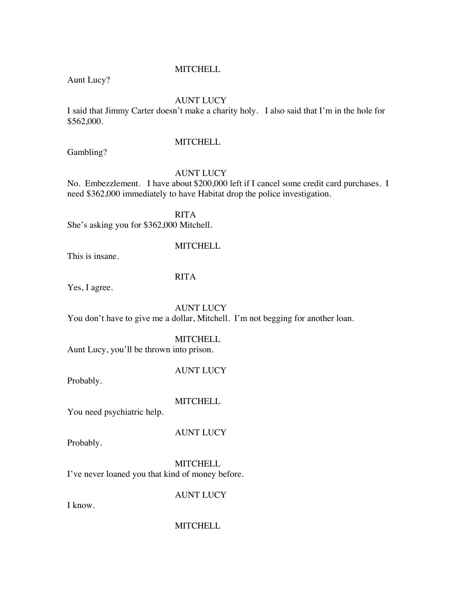Aunt Lucy?

#### AUNT LUCY

I said that Jimmy Carter doesn't make a charity holy. I also said that I'm in the hole for \$562,000.

Gambling?

#### **MITCHELL**

#### AUNT LUCY

No. Embezzlement. I have about \$200,000 left if I cancel some credit card purchases. I need \$362,000 immediately to have Habitat drop the police investigation.

RITA She's asking you for \$362,000 Mitchell.

#### **MITCHELL**

This is insane.

#### RITA

Yes, I agree.

AUNT LUCY You don't have to give me a dollar, Mitchell. I'm not begging for another loan.

#### **MITCHELL**

Aunt Lucy, you'll be thrown into prison.

AUNT LUCY

Probably.

#### **MITCHELL**

You need psychiatric help.

Probably.

## AUNT LUCY

**MITCHELL** I've never loaned you that kind of money before.

AUNT LUCY

I know.

#### **MITCHELL**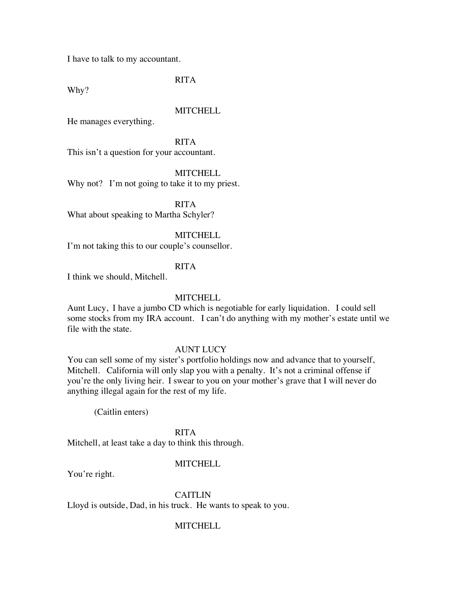I have to talk to my accountant.

RITA

Why?

#### **MITCHELL**

He manages everything.

RITA This isn't a question for your accountant.

**MITCHELL** 

Why not? I'm not going to take it to my priest.

RITA What about speaking to Martha Schyler?

#### **MITCHELL**

I'm not taking this to our couple's counsellor.

#### RITA

I think we should, Mitchell.

#### **MITCHELL**

Aunt Lucy, I have a jumbo CD which is negotiable for early liquidation. I could sell some stocks from my IRA account. I can't do anything with my mother's estate until we file with the state.

#### AUNT LUCY

You can sell some of my sister's portfolio holdings now and advance that to yourself, Mitchell. California will only slap you with a penalty. It's not a criminal offense if you're the only living heir. I swear to you on your mother's grave that I will never do anything illegal again for the rest of my life.

(Caitlin enters)

RITA

Mitchell, at least take a day to think this through.

#### MITCHELL

You're right.

CAITLIN

Lloyd is outside, Dad, in his truck. He wants to speak to you.

#### MITCHELL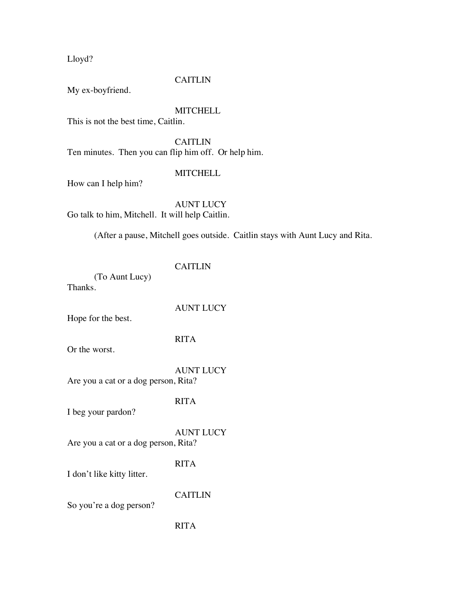Lloyd?

## **CAITLIN**

My ex-boyfriend.

## MITCHELL

This is not the best time, Caitlin.

**CAITLIN** Ten minutes. Then you can flip him off. Or help him.

## **MITCHELL**

How can I help him?

AUNT LUCY Go talk to him, Mitchell. It will help Caitlin.

(After a pause, Mitchell goes outside. Caitlin stays with Aunt Lucy and Rita.

## CAITLIN

AUNT LUCY

(To Aunt Lucy) Thanks.

Hope for the best.

# RITA

Or the worst.

AUNT LUCY Are you a cat or a dog person, Rita?

## RITA

I beg your pardon?

AUNT LUCY

Are you a cat or a dog person, Rita?

RITA

I don't like kitty litter.

CAITLIN

So you're a dog person?

## RITA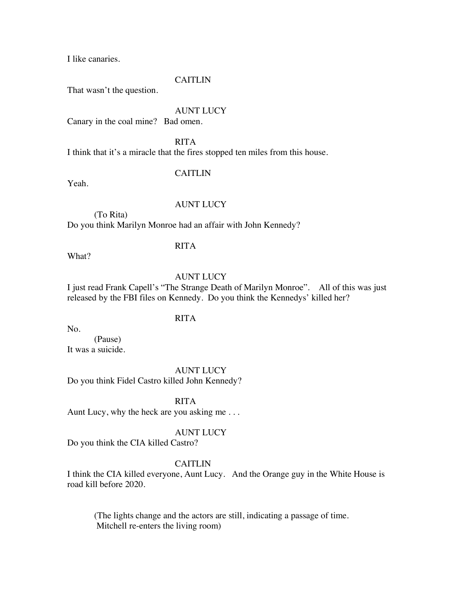I like canaries.

#### CAITLIN

That wasn't the question.

#### AUNT LUCY

Canary in the coal mine? Bad omen.

RITA I think that it's a miracle that the fires stopped ten miles from this house.

## CAITLIN

Yeah.

#### AUNT LUCY

(To Rita) Do you think Marilyn Monroe had an affair with John Kennedy?

#### RITA

What?

## AUNT LUCY

I just read Frank Capell's "The Strange Death of Marilyn Monroe". All of this was just released by the FBI files on Kennedy. Do you think the Kennedys' killed her?

## RITA

No.

(Pause) It was a suicide.

AUNT LUCY

Do you think Fidel Castro killed John Kennedy?

RITA

Aunt Lucy, why the heck are you asking me . . .

## AUNT LUCY

Do you think the CIA killed Castro?

#### CAITLIN

I think the CIA killed everyone, Aunt Lucy. And the Orange guy in the White House is road kill before 2020.

(The lights change and the actors are still, indicating a passage of time. Mitchell re-enters the living room)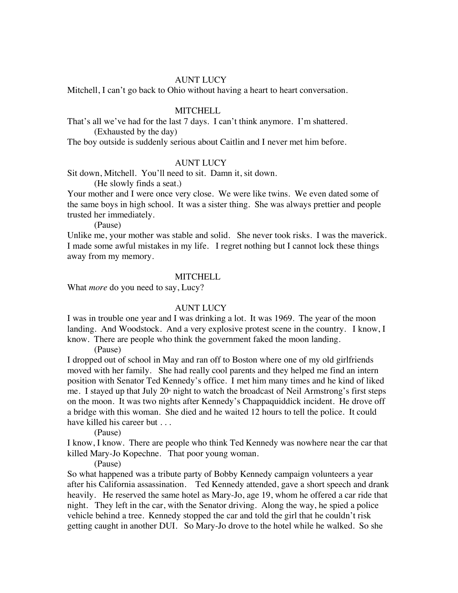#### AUNT LUCY

Mitchell, I can't go back to Ohio without having a heart to heart conversation.

#### MITCHELL

That's all we've had for the last 7 days. I can't think anymore. I'm shattered. (Exhausted by the day)

The boy outside is suddenly serious about Caitlin and I never met him before.

#### AUNT LUCY

Sit down, Mitchell. You'll need to sit. Damn it, sit down.

(He slowly finds a seat.)

Your mother and I were once very close. We were like twins. We even dated some of the same boys in high school. It was a sister thing. She was always prettier and people trusted her immediately.

(Pause)

Unlike me, your mother was stable and solid. She never took risks. I was the maverick. I made some awful mistakes in my life. I regret nothing but I cannot lock these things away from my memory.

#### **MITCHELL**

What *more* do you need to say, Lucy?

#### AUNT LUCY

I was in trouble one year and I was drinking a lot. It was 1969. The year of the moon landing. And Woodstock. And a very explosive protest scene in the country. I know, I know. There are people who think the government faked the moon landing.

(Pause)

I dropped out of school in May and ran off to Boston where one of my old girlfriends moved with her family. She had really cool parents and they helped me find an intern position with Senator Ted Kennedy's office. I met him many times and he kind of liked me. I stayed up that July  $20<sup>th</sup>$  night to watch the broadcast of Neil Armstrong's first steps on the moon. It was two nights after Kennedy's Chappaquiddick incident. He drove off a bridge with this woman. She died and he waited 12 hours to tell the police. It could have killed his career but . . .

(Pause)

I know, I know. There are people who think Ted Kennedy was nowhere near the car that killed Mary-Jo Kopechne. That poor young woman.

(Pause)

So what happened was a tribute party of Bobby Kennedy campaign volunteers a year after his California assassination. Ted Kennedy attended, gave a short speech and drank heavily. He reserved the same hotel as Mary-Jo, age 19, whom he offered a car ride that night. They left in the car, with the Senator driving. Along the way, he spied a police vehicle behind a tree. Kennedy stopped the car and told the girl that he couldn't risk getting caught in another DUI. So Mary-Jo drove to the hotel while he walked. So she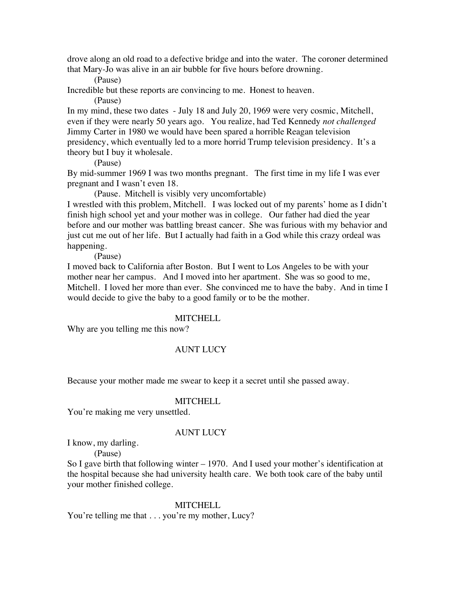drove along an old road to a defective bridge and into the water. The coroner determined that Mary-Jo was alive in an air bubble for five hours before drowning.

(Pause)

Incredible but these reports are convincing to me. Honest to heaven.

(Pause)

In my mind, these two dates - July 18 and July 20, 1969 were very cosmic, Mitchell, even if they were nearly 50 years ago. You realize, had Ted Kennedy *not challenged* Jimmy Carter in 1980 we would have been spared a horrible Reagan television presidency, which eventually led to a more horrid Trump television presidency. It's a theory but I buy it wholesale.

(Pause)

By mid-summer 1969 I was two months pregnant. The first time in my life I was ever pregnant and I wasn't even 18.

(Pause. Mitchell is visibly very uncomfortable)

I wrestled with this problem, Mitchell. I was locked out of my parents' home as I didn't finish high school yet and your mother was in college. Our father had died the year before and our mother was battling breast cancer. She was furious with my behavior and just cut me out of her life. But I actually had faith in a God while this crazy ordeal was happening.

(Pause)

I moved back to California after Boston. But I went to Los Angeles to be with your mother near her campus. And I moved into her apartment. She was so good to me, Mitchell. I loved her more than ever. She convinced me to have the baby. And in time I would decide to give the baby to a good family or to be the mother.

#### **MITCHELL**

Why are you telling me this now?

## AUNT LUCY

Because your mother made me swear to keep it a secret until she passed away.

#### **MITCHELL**

You're making me very unsettled.

## AUNT LUCY

I know, my darling.

(Pause)

So I gave birth that following winter – 1970. And I used your mother's identification at the hospital because she had university health care. We both took care of the baby until your mother finished college.

#### **MITCHELL**

You're telling me that . . . you're my mother, Lucy?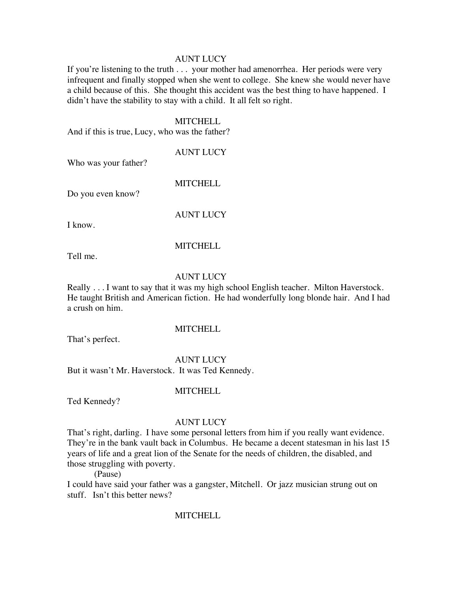#### AUNT LUCY

If you're listening to the truth . . . your mother had amenorrhea. Her periods were very infrequent and finally stopped when she went to college. She knew she would never have a child because of this. She thought this accident was the best thing to have happened. I didn't have the stability to stay with a child. It all felt so right.

#### **MITCHELL**

And if this is true, Lucy, who was the father?

#### AUNT LUCY

Who was your father?

Do you even know?

AUNT LUCY

MITCHELL

I know.

#### MITCHELL

Tell me.

## AUNT LUCY

Really . . . I want to say that it was my high school English teacher. Milton Haverstock. He taught British and American fiction. He had wonderfully long blonde hair. And I had a crush on him.

That's perfect.

## **MITCHELL**

AUNT LUCY But it wasn't Mr. Haverstock. It was Ted Kennedy.

#### **MITCHELL**

Ted Kennedy?

#### AUNT LUCY

That's right, darling. I have some personal letters from him if you really want evidence. They're in the bank vault back in Columbus. He became a decent statesman in his last 15 years of life and a great lion of the Senate for the needs of children, the disabled, and those struggling with poverty.

(Pause)

I could have said your father was a gangster, Mitchell. Or jazz musician strung out on stuff. Isn't this better news?

## **MITCHELL**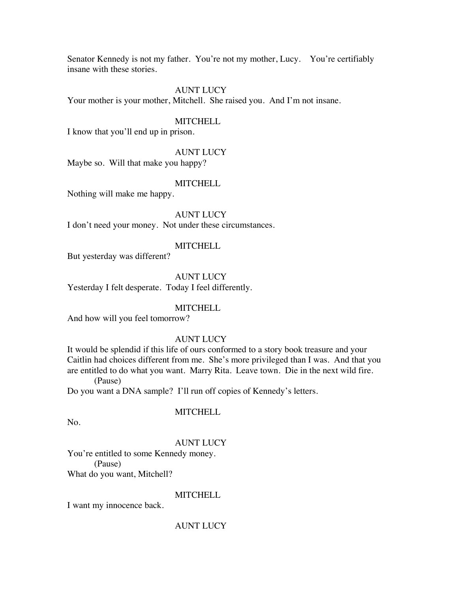Senator Kennedy is not my father. You're not my mother, Lucy. You're certifiably insane with these stories.

#### AUNT LUCY

Your mother is your mother, Mitchell. She raised you. And I'm not insane.

### **MITCHELL**

I know that you'll end up in prison.

#### AUNT LUCY

Maybe so. Will that make you happy?

### MITCHELL

Nothing will make me happy.

## AUNT LUCY

I don't need your money. Not under these circumstances.

#### MITCHELL

But yesterday was different?

#### AUNT LUCY

Yesterday I felt desperate. Today I feel differently.

#### MITCHELL

And how will you feel tomorrow?

## AUNT LUCY

It would be splendid if this life of ours conformed to a story book treasure and your Caitlin had choices different from me. She's more privileged than I was. And that you are entitled to do what you want. Marry Rita. Leave town. Die in the next wild fire. (Pause)

Do you want a DNA sample? I'll run off copies of Kennedy's letters.

## **MITCHELL**

No.

## AUNT LUCY

You're entitled to some Kennedy money. (Pause) What do you want, Mitchell?

## **MITCHELL**

I want my innocence back.

## AUNT LUCY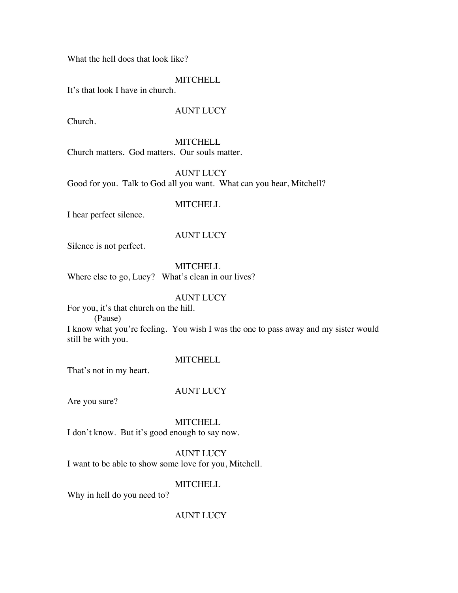What the hell does that look like?

### **MITCHELL**

It's that look I have in church.

## AUNT LUCY

Church.

#### **MITCHELL**

Church matters. God matters. Our souls matter.

AUNT LUCY

Good for you. Talk to God all you want. What can you hear, Mitchell?

## **MITCHELL**

I hear perfect silence.

## AUNT LUCY

Silence is not perfect.

**MITCHELL** 

Where else to go, Lucy? What's clean in our lives?

## AUNT LUCY

For you, it's that church on the hill.

(Pause)

I know what you're feeling. You wish I was the one to pass away and my sister would still be with you.

## **MITCHELL**

That's not in my heart.

## AUNT LUCY

Are you sure?

**MITCHELL** 

I don't know. But it's good enough to say now.

## AUNT LUCY

I want to be able to show some love for you, Mitchell.

## **MITCHELL**

Why in hell do you need to?

## AUNT LUCY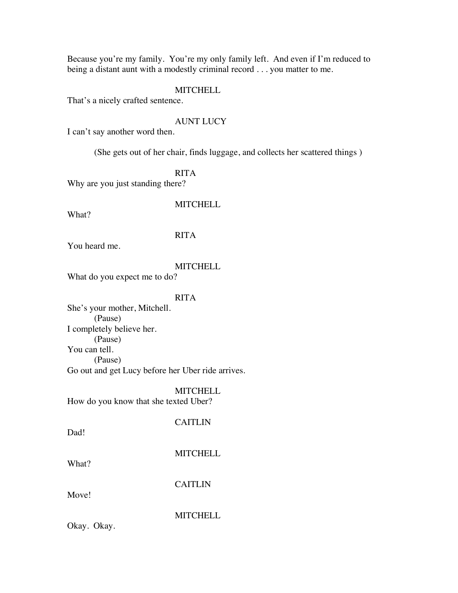Because you're my family. You're my only family left. And even if I'm reduced to being a distant aunt with a modestly criminal record . . . you matter to me.

#### **MITCHELL**

That's a nicely crafted sentence.

#### AUNT LUCY

I can't say another word then.

(She gets out of her chair, finds luggage, and collects her scattered things )

RITA

Why are you just standing there?

### **MITCHELL**

What?

## RITA

You heard me.

### **MITCHELL**

What do you expect me to do?

## RITA

She's your mother, Mitchell. (Pause) I completely believe her. (Pause) You can tell. (Pause) Go out and get Lucy before her Uber ride arrives.

**MITCHELL** 

How do you know that she texted Uber?

CAITLIN

Dad!

**MITCHELL** 

What?

CAITLIN

Move!

**MITCHELL** 

Okay. Okay.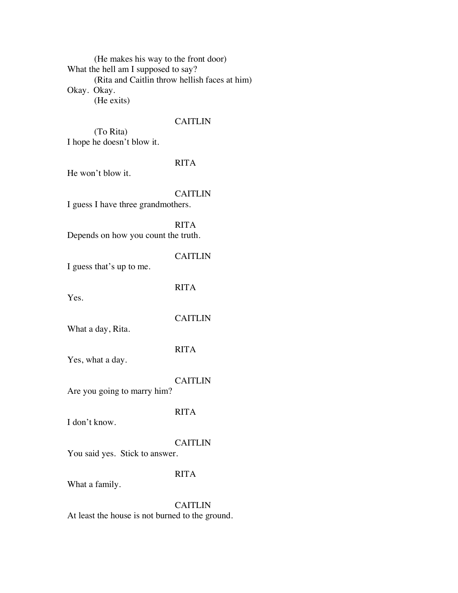(He makes his way to the front door) What the hell am I supposed to say? (Rita and Caitlin throw hellish faces at him) Okay. Okay. (He exits)

### CAITLIN

(To Rita) I hope he doesn't blow it.

## RITA

He won't blow it.

## CAITLIN

I guess I have three grandmothers.

RITA Depends on how you count the truth.

CAITLIN

I guess that's up to me.

Yes.

**CAITLIN** 

RITA

What a day, Rita.

### RITA

Yes, what a day.

#### CAITLIN

Are you going to marry him?

#### RITA

I don't know.

#### CAITLIN

You said yes. Stick to answer.

## RITA

What a family.

CAITLIN At least the house is not burned to the ground.